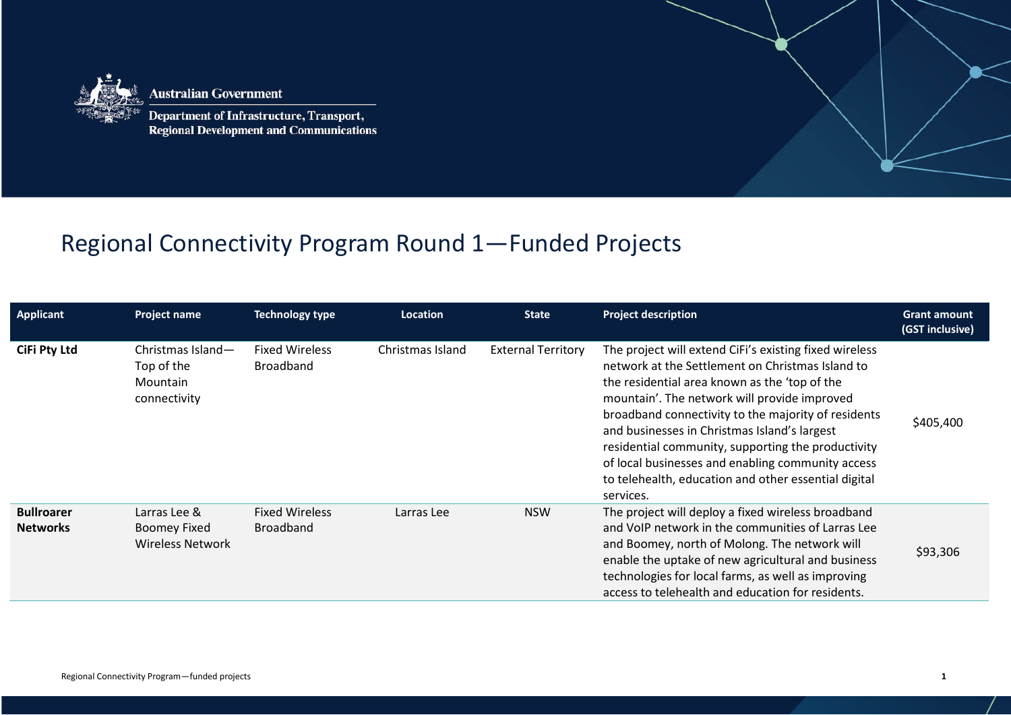

**Australian Government** 

**Department of Infrastructure, Transport, Regional Development and Communications** 

## Regional Connectivity Program Round 1—Funded Projects

| <b>Applicant</b>                     | <b>Project name</b>                                            | <b>Technology type</b>                    | Location         | <b>State</b>              | <b>Project description</b>                                                                                                                                                                                                                                                                                                                                                                                                                                                                         | <b>Grant amount</b><br>(GST inclusive) |
|--------------------------------------|----------------------------------------------------------------|-------------------------------------------|------------------|---------------------------|----------------------------------------------------------------------------------------------------------------------------------------------------------------------------------------------------------------------------------------------------------------------------------------------------------------------------------------------------------------------------------------------------------------------------------------------------------------------------------------------------|----------------------------------------|
| <b>CiFi Pty Ltd</b>                  | Christmas Island-<br>Top of the<br>Mountain<br>connectivity    | <b>Fixed Wireless</b><br><b>Broadband</b> | Christmas Island | <b>External Territory</b> | The project will extend CiFi's existing fixed wireless<br>network at the Settlement on Christmas Island to<br>the residential area known as the 'top of the<br>mountain'. The network will provide improved<br>broadband connectivity to the majority of residents<br>and businesses in Christmas Island's largest<br>residential community, supporting the productivity<br>of local businesses and enabling community access<br>to telehealth, education and other essential digital<br>services. | \$405,400                              |
| <b>Bullroarer</b><br><b>Networks</b> | Larras Lee &<br><b>Boomey Fixed</b><br><b>Wireless Network</b> | <b>Fixed Wireless</b><br><b>Broadband</b> | Larras Lee       | <b>NSW</b>                | The project will deploy a fixed wireless broadband<br>and VoIP network in the communities of Larras Lee<br>and Boomey, north of Molong. The network will<br>enable the uptake of new agricultural and business<br>technologies for local farms, as well as improving<br>access to telehealth and education for residents.                                                                                                                                                                          | \$93,306                               |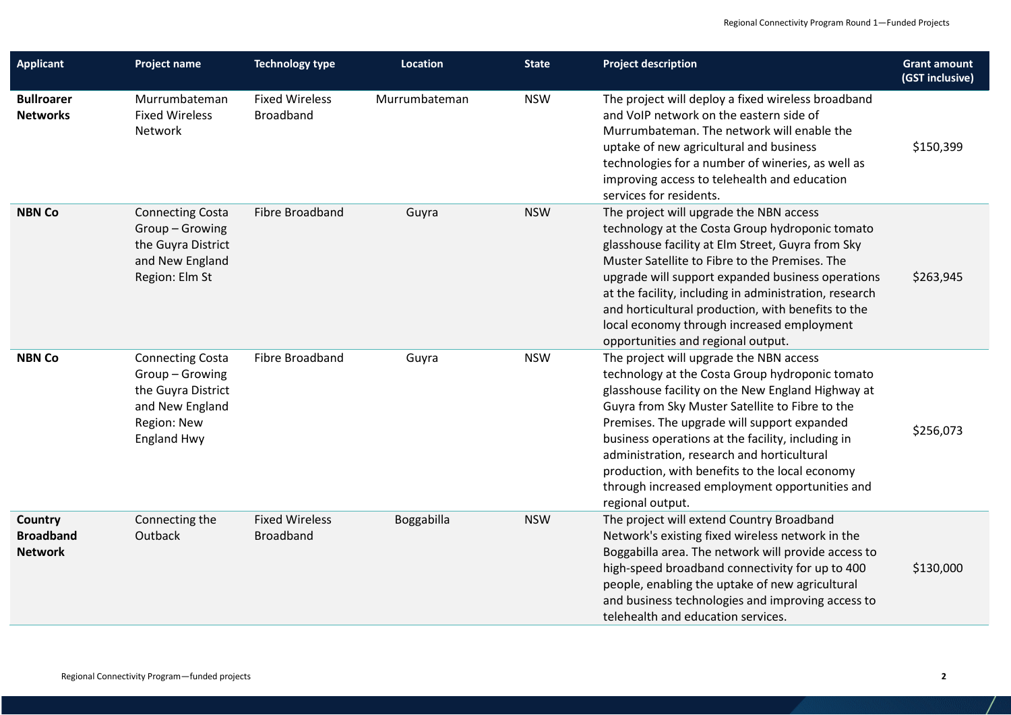| <b>Applicant</b>                              | Project name                                                                                                           | <b>Technology type</b>                    | <b>Location</b> | <b>State</b> | <b>Project description</b>                                                                                                                                                                                                                                                                                                                                                                                                                                                   | <b>Grant amount</b><br>(GST inclusive) |
|-----------------------------------------------|------------------------------------------------------------------------------------------------------------------------|-------------------------------------------|-----------------|--------------|------------------------------------------------------------------------------------------------------------------------------------------------------------------------------------------------------------------------------------------------------------------------------------------------------------------------------------------------------------------------------------------------------------------------------------------------------------------------------|----------------------------------------|
| <b>Bullroarer</b><br><b>Networks</b>          | Murrumbateman<br><b>Fixed Wireless</b><br>Network                                                                      | <b>Fixed Wireless</b><br><b>Broadband</b> | Murrumbateman   | <b>NSW</b>   | The project will deploy a fixed wireless broadband<br>and VoIP network on the eastern side of<br>Murrumbateman. The network will enable the<br>uptake of new agricultural and business<br>technologies for a number of wineries, as well as<br>improving access to telehealth and education<br>services for residents.                                                                                                                                                       | \$150,399                              |
| <b>NBN Co</b>                                 | <b>Connecting Costa</b><br>Group-Growing<br>the Guyra District<br>and New England<br>Region: Elm St                    | Fibre Broadband                           | Guyra           | <b>NSW</b>   | The project will upgrade the NBN access<br>technology at the Costa Group hydroponic tomato<br>glasshouse facility at Elm Street, Guyra from Sky<br>Muster Satellite to Fibre to the Premises. The<br>upgrade will support expanded business operations<br>at the facility, including in administration, research<br>and horticultural production, with benefits to the<br>local economy through increased employment<br>opportunities and regional output.                   | \$263,945                              |
| <b>NBN Co</b>                                 | <b>Connecting Costa</b><br>Group-Growing<br>the Guyra District<br>and New England<br>Region: New<br><b>England Hwy</b> | Fibre Broadband                           | Guyra           | <b>NSW</b>   | The project will upgrade the NBN access<br>technology at the Costa Group hydroponic tomato<br>glasshouse facility on the New England Highway at<br>Guyra from Sky Muster Satellite to Fibre to the<br>Premises. The upgrade will support expanded<br>business operations at the facility, including in<br>administration, research and horticultural<br>production, with benefits to the local economy<br>through increased employment opportunities and<br>regional output. | \$256,073                              |
| Country<br><b>Broadband</b><br><b>Network</b> | Connecting the<br>Outback                                                                                              | <b>Fixed Wireless</b><br><b>Broadband</b> | Boggabilla      | <b>NSW</b>   | The project will extend Country Broadband<br>Network's existing fixed wireless network in the<br>Boggabilla area. The network will provide access to<br>high-speed broadband connectivity for up to 400<br>people, enabling the uptake of new agricultural<br>and business technologies and improving access to<br>telehealth and education services.                                                                                                                        | \$130,000                              |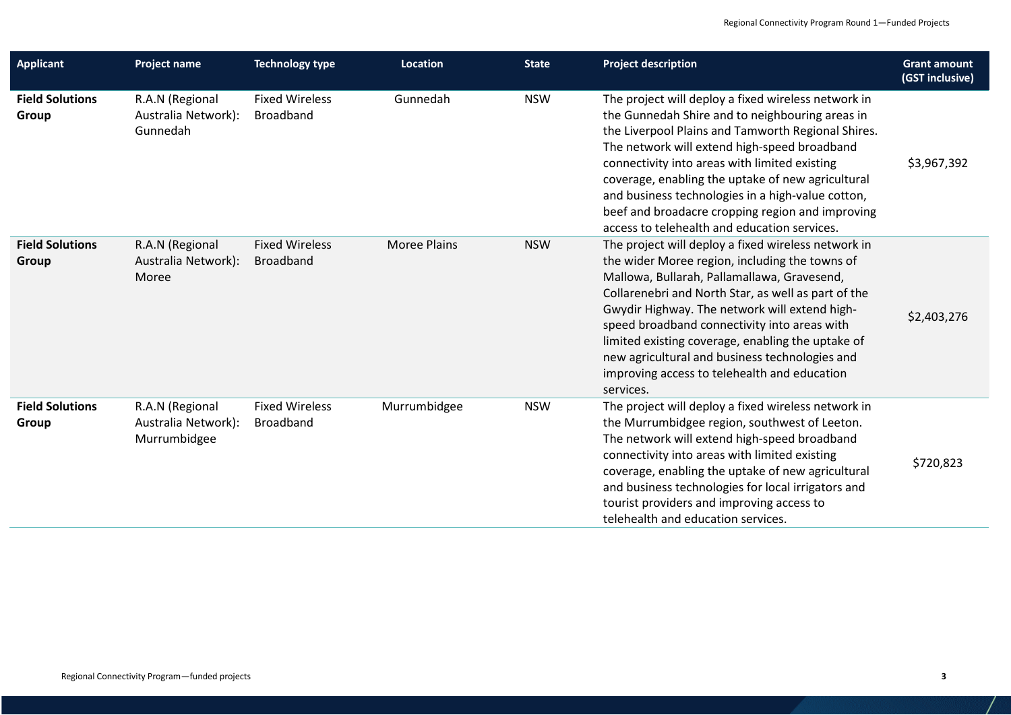| <b>Applicant</b>                | <b>Project name</b>                                    | <b>Technology type</b>                    | Location            | <b>State</b> | <b>Project description</b>                                                                                                                                                                                                                                                                                                                                                                                                                                                       | <b>Grant amount</b><br>(GST inclusive) |
|---------------------------------|--------------------------------------------------------|-------------------------------------------|---------------------|--------------|----------------------------------------------------------------------------------------------------------------------------------------------------------------------------------------------------------------------------------------------------------------------------------------------------------------------------------------------------------------------------------------------------------------------------------------------------------------------------------|----------------------------------------|
| <b>Field Solutions</b><br>Group | R.A.N (Regional<br>Australia Network):<br>Gunnedah     | <b>Fixed Wireless</b><br><b>Broadband</b> | Gunnedah            | <b>NSW</b>   | The project will deploy a fixed wireless network in<br>the Gunnedah Shire and to neighbouring areas in<br>the Liverpool Plains and Tamworth Regional Shires.<br>The network will extend high-speed broadband<br>connectivity into areas with limited existing<br>coverage, enabling the uptake of new agricultural<br>and business technologies in a high-value cotton,<br>beef and broadacre cropping region and improving<br>access to telehealth and education services.      | \$3,967,392                            |
| <b>Field Solutions</b><br>Group | R.A.N (Regional<br>Australia Network):<br>Moree        | <b>Fixed Wireless</b><br><b>Broadband</b> | <b>Moree Plains</b> | <b>NSW</b>   | The project will deploy a fixed wireless network in<br>the wider Moree region, including the towns of<br>Mallowa, Bullarah, Pallamallawa, Gravesend,<br>Collarenebri and North Star, as well as part of the<br>Gwydir Highway. The network will extend high-<br>speed broadband connectivity into areas with<br>limited existing coverage, enabling the uptake of<br>new agricultural and business technologies and<br>improving access to telehealth and education<br>services. | \$2,403,276                            |
| <b>Field Solutions</b><br>Group | R.A.N (Regional<br>Australia Network):<br>Murrumbidgee | <b>Fixed Wireless</b><br><b>Broadband</b> | Murrumbidgee        | <b>NSW</b>   | The project will deploy a fixed wireless network in<br>the Murrumbidgee region, southwest of Leeton.<br>The network will extend high-speed broadband<br>connectivity into areas with limited existing<br>coverage, enabling the uptake of new agricultural<br>and business technologies for local irrigators and<br>tourist providers and improving access to<br>telehealth and education services.                                                                              | \$720,823                              |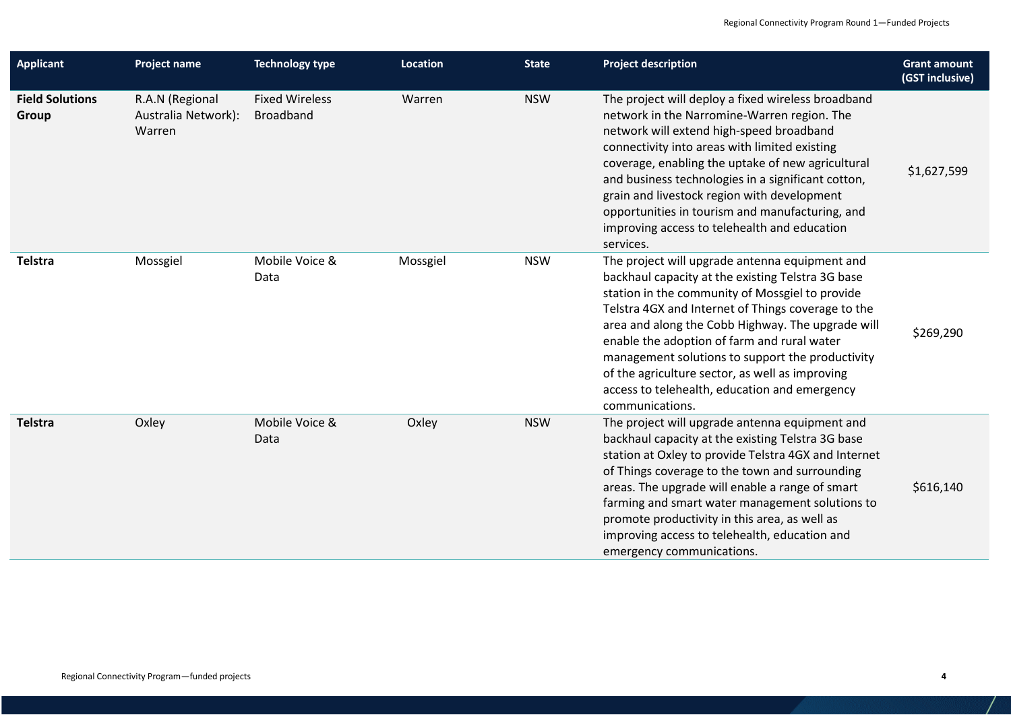| <b>Applicant</b>                | <b>Project name</b>                              | <b>Technology type</b>                    | <b>Location</b> | <b>State</b> | <b>Project description</b>                                                                                                                                                                                                                                                                                                                                                                                                                                                                  | <b>Grant amount</b><br>(GST inclusive) |
|---------------------------------|--------------------------------------------------|-------------------------------------------|-----------------|--------------|---------------------------------------------------------------------------------------------------------------------------------------------------------------------------------------------------------------------------------------------------------------------------------------------------------------------------------------------------------------------------------------------------------------------------------------------------------------------------------------------|----------------------------------------|
| <b>Field Solutions</b><br>Group | R.A.N (Regional<br>Australia Network):<br>Warren | <b>Fixed Wireless</b><br><b>Broadband</b> | Warren          | <b>NSW</b>   | The project will deploy a fixed wireless broadband<br>network in the Narromine-Warren region. The<br>network will extend high-speed broadband<br>connectivity into areas with limited existing<br>coverage, enabling the uptake of new agricultural<br>and business technologies in a significant cotton,<br>grain and livestock region with development<br>opportunities in tourism and manufacturing, and<br>improving access to telehealth and education<br>services.                    | \$1,627,599                            |
| <b>Telstra</b>                  | Mossgiel                                         | Mobile Voice &<br>Data                    | Mossgiel        | <b>NSW</b>   | The project will upgrade antenna equipment and<br>backhaul capacity at the existing Telstra 3G base<br>station in the community of Mossgiel to provide<br>Telstra 4GX and Internet of Things coverage to the<br>area and along the Cobb Highway. The upgrade will<br>enable the adoption of farm and rural water<br>management solutions to support the productivity<br>of the agriculture sector, as well as improving<br>access to telehealth, education and emergency<br>communications. | \$269,290                              |
| <b>Telstra</b>                  | Oxley                                            | Mobile Voice &<br>Data                    | Oxley           | <b>NSW</b>   | The project will upgrade antenna equipment and<br>backhaul capacity at the existing Telstra 3G base<br>station at Oxley to provide Telstra 4GX and Internet<br>of Things coverage to the town and surrounding<br>areas. The upgrade will enable a range of smart<br>farming and smart water management solutions to<br>promote productivity in this area, as well as<br>improving access to telehealth, education and<br>emergency communications.                                          | \$616,140                              |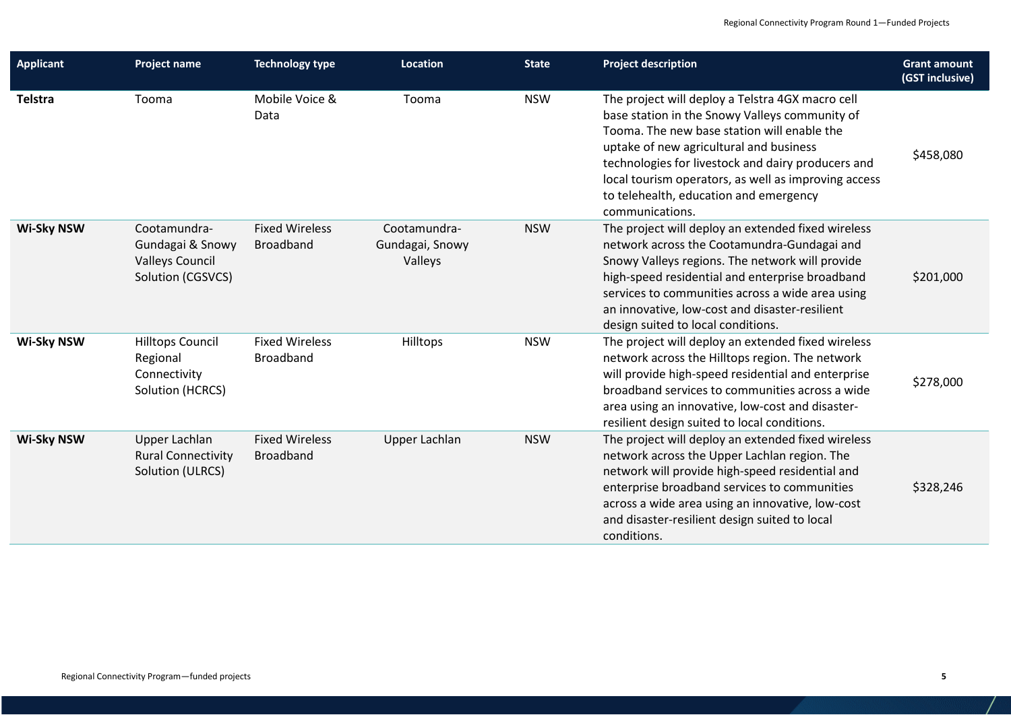| <b>Applicant</b>  | <b>Project name</b>                                                             | <b>Technology type</b>                    | <b>Location</b>                            | <b>State</b> | <b>Project description</b>                                                                                                                                                                                                                                                                                                                                              | <b>Grant amount</b><br>(GST inclusive) |
|-------------------|---------------------------------------------------------------------------------|-------------------------------------------|--------------------------------------------|--------------|-------------------------------------------------------------------------------------------------------------------------------------------------------------------------------------------------------------------------------------------------------------------------------------------------------------------------------------------------------------------------|----------------------------------------|
| <b>Telstra</b>    | Tooma                                                                           | Mobile Voice &<br>Data                    | Tooma                                      | <b>NSW</b>   | The project will deploy a Telstra 4GX macro cell<br>base station in the Snowy Valleys community of<br>Tooma. The new base station will enable the<br>uptake of new agricultural and business<br>technologies for livestock and dairy producers and<br>local tourism operators, as well as improving access<br>to telehealth, education and emergency<br>communications. | \$458,080                              |
| <b>Wi-Sky NSW</b> | Cootamundra-<br>Gundagai & Snowy<br><b>Valleys Council</b><br>Solution (CGSVCS) | <b>Fixed Wireless</b><br><b>Broadband</b> | Cootamundra-<br>Gundagai, Snowy<br>Valleys | <b>NSW</b>   | The project will deploy an extended fixed wireless<br>network across the Cootamundra-Gundagai and<br>Snowy Valleys regions. The network will provide<br>high-speed residential and enterprise broadband<br>services to communities across a wide area using<br>an innovative, low-cost and disaster-resilient<br>design suited to local conditions.                     | \$201,000                              |
| <b>Wi-Sky NSW</b> | <b>Hilltops Council</b><br>Regional<br>Connectivity<br>Solution (HCRCS)         | <b>Fixed Wireless</b><br><b>Broadband</b> | Hilltops                                   | <b>NSW</b>   | The project will deploy an extended fixed wireless<br>network across the Hilltops region. The network<br>will provide high-speed residential and enterprise<br>broadband services to communities across a wide<br>area using an innovative, low-cost and disaster-<br>resilient design suited to local conditions.                                                      | \$278,000                              |
| <b>Wi-Sky NSW</b> | Upper Lachlan<br><b>Rural Connectivity</b><br>Solution (ULRCS)                  | <b>Fixed Wireless</b><br><b>Broadband</b> | Upper Lachlan                              | <b>NSW</b>   | The project will deploy an extended fixed wireless<br>network across the Upper Lachlan region. The<br>network will provide high-speed residential and<br>enterprise broadband services to communities<br>across a wide area using an innovative, low-cost<br>and disaster-resilient design suited to local<br>conditions.                                               | \$328,246                              |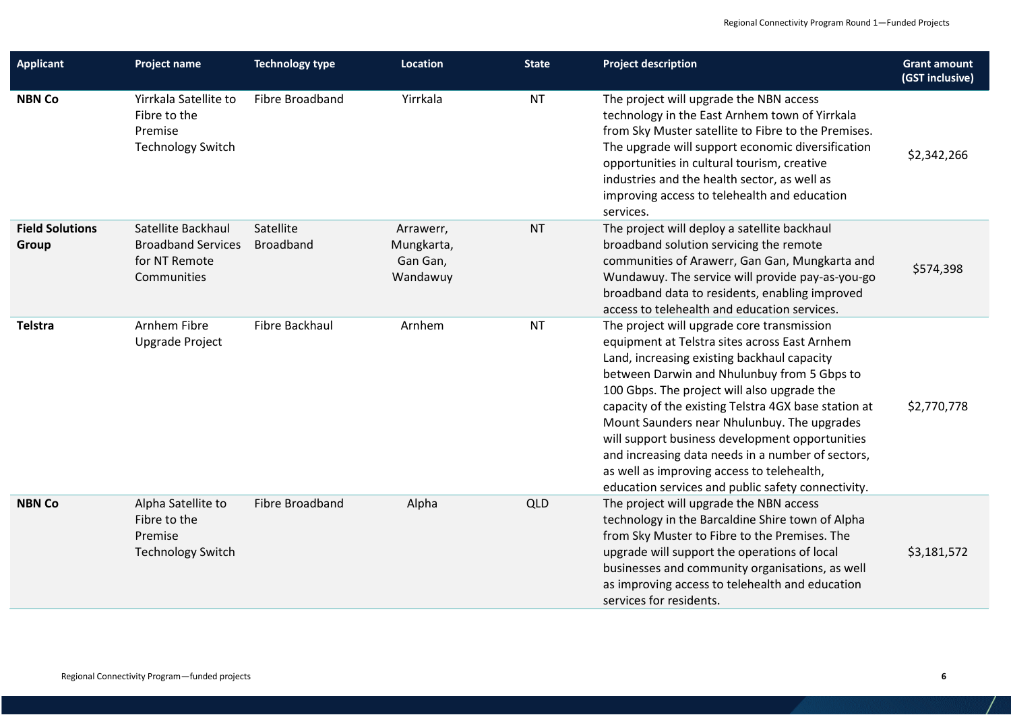| <b>Applicant</b>                       | <b>Project name</b>                                                             | <b>Technology type</b>        | <b>Location</b>                                 | <b>State</b> | <b>Project description</b>                                                                                                                                                                                                                                                                                                                                                                                                                                                                                                                                  | <b>Grant amount</b><br>(GST inclusive) |
|----------------------------------------|---------------------------------------------------------------------------------|-------------------------------|-------------------------------------------------|--------------|-------------------------------------------------------------------------------------------------------------------------------------------------------------------------------------------------------------------------------------------------------------------------------------------------------------------------------------------------------------------------------------------------------------------------------------------------------------------------------------------------------------------------------------------------------------|----------------------------------------|
| <b>NBN Co</b>                          | Yirrkala Satellite to<br>Fibre to the<br>Premise<br><b>Technology Switch</b>    | Fibre Broadband               | Yirrkala                                        | <b>NT</b>    | The project will upgrade the NBN access<br>technology in the East Arnhem town of Yirrkala<br>from Sky Muster satellite to Fibre to the Premises.<br>The upgrade will support economic diversification<br>opportunities in cultural tourism, creative<br>industries and the health sector, as well as<br>improving access to telehealth and education<br>services.                                                                                                                                                                                           | \$2,342,266                            |
| <b>Field Solutions</b><br><b>Group</b> | Satellite Backhaul<br><b>Broadband Services</b><br>for NT Remote<br>Communities | Satellite<br><b>Broadband</b> | Arrawerr,<br>Mungkarta,<br>Gan Gan,<br>Wandawuy | <b>NT</b>    | The project will deploy a satellite backhaul<br>broadband solution servicing the remote<br>communities of Arawerr, Gan Gan, Mungkarta and<br>Wundawuy. The service will provide pay-as-you-go<br>broadband data to residents, enabling improved<br>access to telehealth and education services.                                                                                                                                                                                                                                                             | \$574,398                              |
| Telstra                                | Arnhem Fibre<br><b>Upgrade Project</b>                                          | Fibre Backhaul                | Arnhem                                          | <b>NT</b>    | The project will upgrade core transmission<br>equipment at Telstra sites across East Arnhem<br>Land, increasing existing backhaul capacity<br>between Darwin and Nhulunbuy from 5 Gbps to<br>100 Gbps. The project will also upgrade the<br>capacity of the existing Telstra 4GX base station at<br>Mount Saunders near Nhulunbuy. The upgrades<br>will support business development opportunities<br>and increasing data needs in a number of sectors,<br>as well as improving access to telehealth,<br>education services and public safety connectivity. | \$2,770,778                            |
| <b>NBN Co</b>                          | Alpha Satellite to<br>Fibre to the<br>Premise<br><b>Technology Switch</b>       | Fibre Broadband               | Alpha                                           | <b>QLD</b>   | The project will upgrade the NBN access<br>technology in the Barcaldine Shire town of Alpha<br>from Sky Muster to Fibre to the Premises. The<br>upgrade will support the operations of local<br>businesses and community organisations, as well<br>as improving access to telehealth and education<br>services for residents.                                                                                                                                                                                                                               | \$3,181,572                            |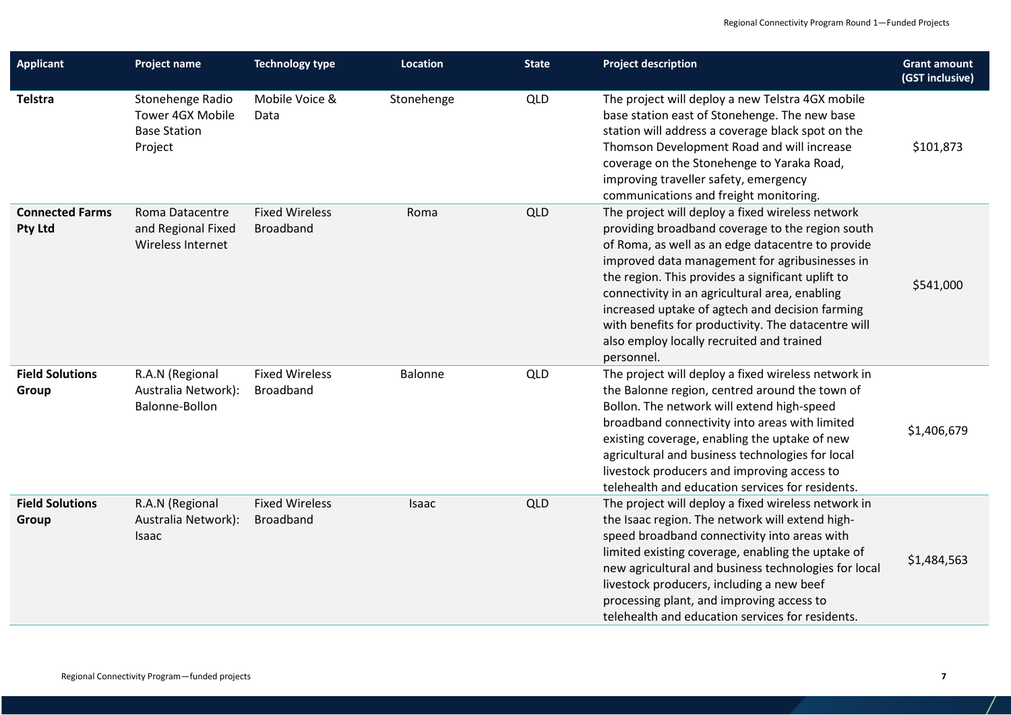| <b>Applicant</b>                  | Project name                                                           | <b>Technology type</b>                    | Location   | <b>State</b> | <b>Project description</b>                                                                                                                                                                                                                                                                                                                                                                                                                                                              | <b>Grant amount</b><br>(GST inclusive) |
|-----------------------------------|------------------------------------------------------------------------|-------------------------------------------|------------|--------------|-----------------------------------------------------------------------------------------------------------------------------------------------------------------------------------------------------------------------------------------------------------------------------------------------------------------------------------------------------------------------------------------------------------------------------------------------------------------------------------------|----------------------------------------|
| <b>Telstra</b>                    | Stonehenge Radio<br>Tower 4GX Mobile<br><b>Base Station</b><br>Project | Mobile Voice &<br>Data                    | Stonehenge | <b>QLD</b>   | The project will deploy a new Telstra 4GX mobile<br>base station east of Stonehenge. The new base<br>station will address a coverage black spot on the<br>Thomson Development Road and will increase<br>coverage on the Stonehenge to Yaraka Road,<br>improving traveller safety, emergency<br>communications and freight monitoring.                                                                                                                                                   | \$101,873                              |
| <b>Connected Farms</b><br>Pty Ltd | Roma Datacentre<br>and Regional Fixed<br>Wireless Internet             | <b>Fixed Wireless</b><br><b>Broadband</b> | Roma       | <b>QLD</b>   | The project will deploy a fixed wireless network<br>providing broadband coverage to the region south<br>of Roma, as well as an edge datacentre to provide<br>improved data management for agribusinesses in<br>the region. This provides a significant uplift to<br>connectivity in an agricultural area, enabling<br>increased uptake of agtech and decision farming<br>with benefits for productivity. The datacentre will<br>also employ locally recruited and trained<br>personnel. | \$541,000                              |
| <b>Field Solutions</b><br>Group   | R.A.N (Regional<br>Australia Network):<br>Balonne-Bollon               | <b>Fixed Wireless</b><br>Broadband        | Balonne    | QLD          | The project will deploy a fixed wireless network in<br>the Balonne region, centred around the town of<br>Bollon. The network will extend high-speed<br>broadband connectivity into areas with limited<br>existing coverage, enabling the uptake of new<br>agricultural and business technologies for local<br>livestock producers and improving access to<br>telehealth and education services for residents.                                                                           | \$1,406,679                            |
| <b>Field Solutions</b><br>Group   | R.A.N (Regional<br>Australia Network):<br>Isaac                        | <b>Fixed Wireless</b><br><b>Broadband</b> | Isaac      | <b>QLD</b>   | The project will deploy a fixed wireless network in<br>the Isaac region. The network will extend high-<br>speed broadband connectivity into areas with<br>limited existing coverage, enabling the uptake of<br>new agricultural and business technologies for local<br>livestock producers, including a new beef<br>processing plant, and improving access to<br>telehealth and education services for residents.                                                                       | \$1,484,563                            |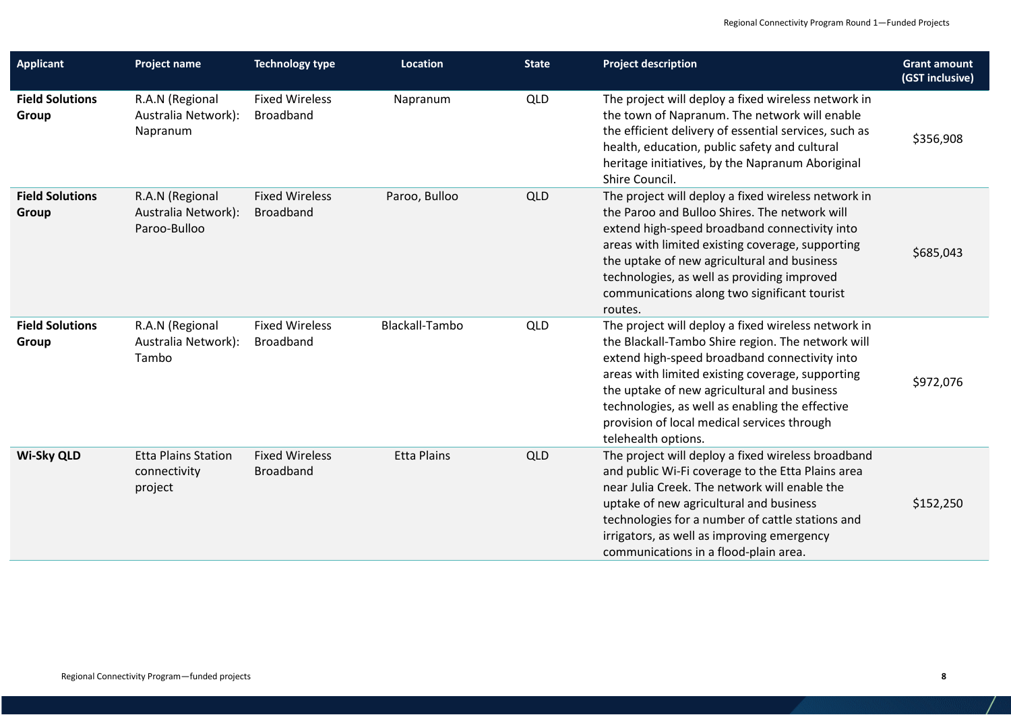| <b>Applicant</b>                | <b>Project name</b>                                    | <b>Technology type</b>                    | <b>Location</b>    | <b>State</b> | <b>Project description</b>                                                                                                                                                                                                                                                                                                                                                            | <b>Grant amount</b><br>(GST inclusive) |
|---------------------------------|--------------------------------------------------------|-------------------------------------------|--------------------|--------------|---------------------------------------------------------------------------------------------------------------------------------------------------------------------------------------------------------------------------------------------------------------------------------------------------------------------------------------------------------------------------------------|----------------------------------------|
| <b>Field Solutions</b><br>Group | R.A.N (Regional<br>Australia Network):<br>Napranum     | <b>Fixed Wireless</b><br><b>Broadband</b> | Napranum           | <b>QLD</b>   | The project will deploy a fixed wireless network in<br>the town of Napranum. The network will enable<br>the efficient delivery of essential services, such as<br>health, education, public safety and cultural<br>heritage initiatives, by the Napranum Aboriginal<br>Shire Council.                                                                                                  | \$356,908                              |
| <b>Field Solutions</b><br>Group | R.A.N (Regional<br>Australia Network):<br>Paroo-Bulloo | <b>Fixed Wireless</b><br><b>Broadband</b> | Paroo, Bulloo      | QLD          | The project will deploy a fixed wireless network in<br>the Paroo and Bulloo Shires. The network will<br>extend high-speed broadband connectivity into<br>areas with limited existing coverage, supporting<br>the uptake of new agricultural and business<br>technologies, as well as providing improved<br>communications along two significant tourist<br>routes.                    | \$685,043                              |
| <b>Field Solutions</b><br>Group | R.A.N (Regional<br>Australia Network):<br>Tambo        | <b>Fixed Wireless</b><br><b>Broadband</b> | Blackall-Tambo     | QLD          | The project will deploy a fixed wireless network in<br>the Blackall-Tambo Shire region. The network will<br>extend high-speed broadband connectivity into<br>areas with limited existing coverage, supporting<br>the uptake of new agricultural and business<br>technologies, as well as enabling the effective<br>provision of local medical services through<br>telehealth options. | \$972,076                              |
| <b>Wi-Sky QLD</b>               | <b>Etta Plains Station</b><br>connectivity<br>project  | <b>Fixed Wireless</b><br><b>Broadband</b> | <b>Etta Plains</b> | QLD          | The project will deploy a fixed wireless broadband<br>and public Wi-Fi coverage to the Etta Plains area<br>near Julia Creek. The network will enable the<br>uptake of new agricultural and business<br>technologies for a number of cattle stations and<br>irrigators, as well as improving emergency<br>communications in a flood-plain area.                                        | \$152,250                              |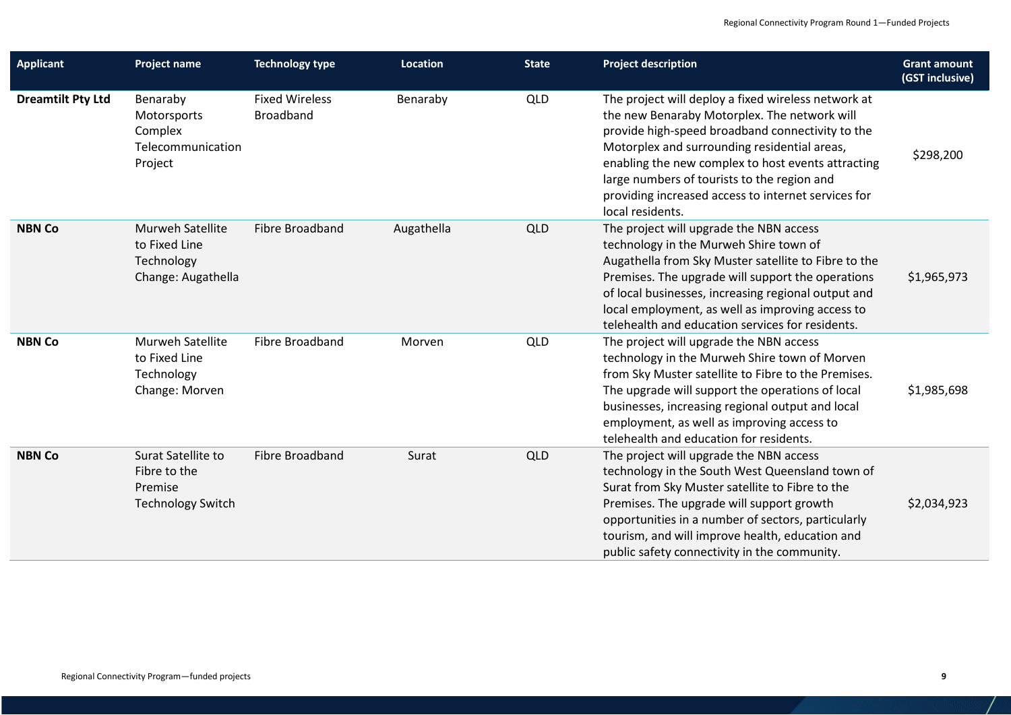| <b>Applicant</b>         | <b>Project name</b>                                                       | <b>Technology type</b>                    | <b>Location</b> | <b>State</b> | <b>Project description</b>                                                                                                                                                                                                                                                                                                                                                              | <b>Grant amount</b><br>(GST inclusive) |
|--------------------------|---------------------------------------------------------------------------|-------------------------------------------|-----------------|--------------|-----------------------------------------------------------------------------------------------------------------------------------------------------------------------------------------------------------------------------------------------------------------------------------------------------------------------------------------------------------------------------------------|----------------------------------------|
| <b>Dreamtilt Pty Ltd</b> | Benaraby<br>Motorsports<br>Complex<br>Telecommunication<br>Project        | <b>Fixed Wireless</b><br><b>Broadband</b> | Benaraby        | QLD          | The project will deploy a fixed wireless network at<br>the new Benaraby Motorplex. The network will<br>provide high-speed broadband connectivity to the<br>Motorplex and surrounding residential areas,<br>enabling the new complex to host events attracting<br>large numbers of tourists to the region and<br>providing increased access to internet services for<br>local residents. | \$298,200                              |
| <b>NBN Co</b>            | Murweh Satellite<br>to Fixed Line<br>Technology<br>Change: Augathella     | Fibre Broadband                           | Augathella      | <b>QLD</b>   | The project will upgrade the NBN access<br>technology in the Murweh Shire town of<br>Augathella from Sky Muster satellite to Fibre to the<br>Premises. The upgrade will support the operations<br>of local businesses, increasing regional output and<br>local employment, as well as improving access to<br>telehealth and education services for residents.                           | \$1,965,973                            |
| <b>NBN Co</b>            | Murweh Satellite<br>to Fixed Line<br>Technology<br>Change: Morven         | Fibre Broadband                           | Morven          | <b>QLD</b>   | The project will upgrade the NBN access<br>technology in the Murweh Shire town of Morven<br>from Sky Muster satellite to Fibre to the Premises.<br>The upgrade will support the operations of local<br>businesses, increasing regional output and local<br>employment, as well as improving access to<br>telehealth and education for residents.                                        | \$1,985,698                            |
| <b>NBN Co</b>            | Surat Satellite to<br>Fibre to the<br>Premise<br><b>Technology Switch</b> | Fibre Broadband                           | Surat           | <b>QLD</b>   | The project will upgrade the NBN access<br>technology in the South West Queensland town of<br>Surat from Sky Muster satellite to Fibre to the<br>Premises. The upgrade will support growth<br>opportunities in a number of sectors, particularly<br>tourism, and will improve health, education and<br>public safety connectivity in the community.                                     | \$2,034,923                            |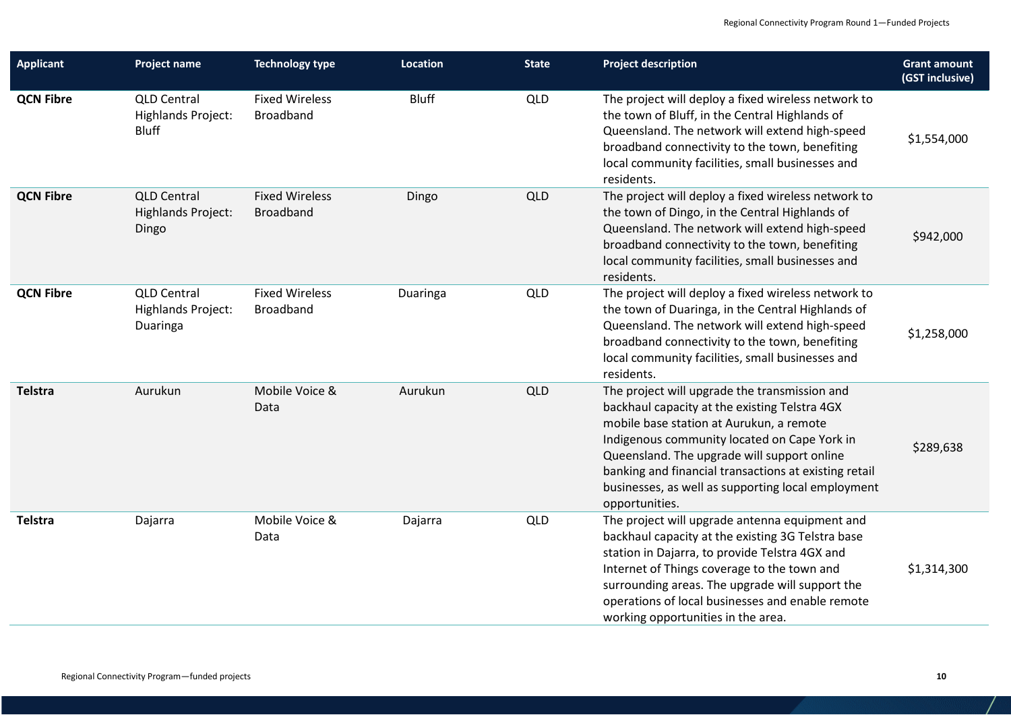| <b>Applicant</b> | <b>Project name</b>                                             | <b>Technology type</b>                    | <b>Location</b> | <b>State</b> | <b>Project description</b>                                                                                                                                                                                                                                                                                                                                                 | <b>Grant amount</b><br>(GST inclusive) |
|------------------|-----------------------------------------------------------------|-------------------------------------------|-----------------|--------------|----------------------------------------------------------------------------------------------------------------------------------------------------------------------------------------------------------------------------------------------------------------------------------------------------------------------------------------------------------------------------|----------------------------------------|
| <b>QCN Fibre</b> | <b>QLD Central</b><br><b>Highlands Project:</b><br><b>Bluff</b> | <b>Fixed Wireless</b><br><b>Broadband</b> | <b>Bluff</b>    | QLD          | The project will deploy a fixed wireless network to<br>the town of Bluff, in the Central Highlands of<br>Queensland. The network will extend high-speed<br>broadband connectivity to the town, benefiting<br>local community facilities, small businesses and<br>residents.                                                                                                | \$1,554,000                            |
| <b>QCN Fibre</b> | <b>QLD Central</b><br><b>Highlands Project:</b><br>Dingo        | <b>Fixed Wireless</b><br><b>Broadband</b> | Dingo           | <b>QLD</b>   | The project will deploy a fixed wireless network to<br>the town of Dingo, in the Central Highlands of<br>Queensland. The network will extend high-speed<br>broadband connectivity to the town, benefiting<br>local community facilities, small businesses and<br>residents.                                                                                                | \$942,000                              |
| <b>QCN Fibre</b> | <b>QLD Central</b><br><b>Highlands Project:</b><br>Duaringa     | <b>Fixed Wireless</b><br><b>Broadband</b> | Duaringa        | QLD          | The project will deploy a fixed wireless network to<br>the town of Duaringa, in the Central Highlands of<br>Queensland. The network will extend high-speed<br>broadband connectivity to the town, benefiting<br>local community facilities, small businesses and<br>residents.                                                                                             | \$1,258,000                            |
| <b>Telstra</b>   | Aurukun                                                         | Mobile Voice &<br>Data                    | Aurukun         | <b>QLD</b>   | The project will upgrade the transmission and<br>backhaul capacity at the existing Telstra 4GX<br>mobile base station at Aurukun, a remote<br>Indigenous community located on Cape York in<br>Queensland. The upgrade will support online<br>banking and financial transactions at existing retail<br>businesses, as well as supporting local employment<br>opportunities. | \$289,638                              |
| <b>Telstra</b>   | Dajarra                                                         | Mobile Voice &<br>Data                    | Dajarra         | <b>QLD</b>   | The project will upgrade antenna equipment and<br>backhaul capacity at the existing 3G Telstra base<br>station in Dajarra, to provide Telstra 4GX and<br>Internet of Things coverage to the town and<br>surrounding areas. The upgrade will support the<br>operations of local businesses and enable remote<br>working opportunities in the area.                          | \$1,314,300                            |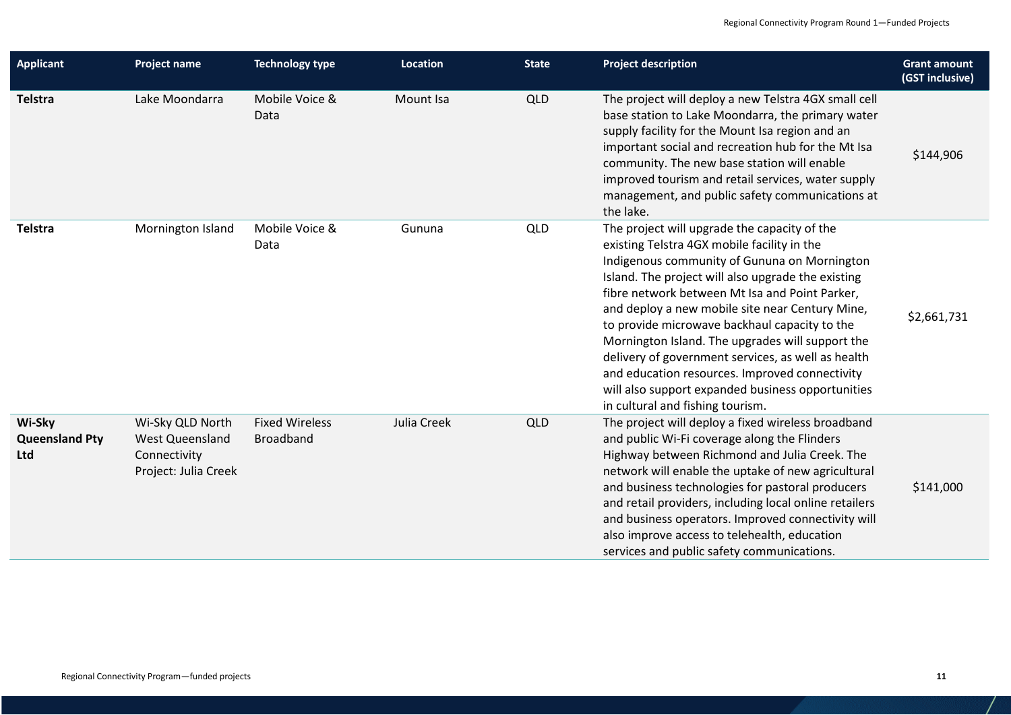| <b>Applicant</b>                       | <b>Project name</b>                                                                | <b>Technology type</b>                    | Location    | <b>State</b> | <b>Project description</b>                                                                                                                                                                                                                                                                                                                                                                                                                                                                                                                                                                                   | <b>Grant amount</b><br>(GST inclusive) |
|----------------------------------------|------------------------------------------------------------------------------------|-------------------------------------------|-------------|--------------|--------------------------------------------------------------------------------------------------------------------------------------------------------------------------------------------------------------------------------------------------------------------------------------------------------------------------------------------------------------------------------------------------------------------------------------------------------------------------------------------------------------------------------------------------------------------------------------------------------------|----------------------------------------|
| Telstra                                | Lake Moondarra                                                                     | Mobile Voice &<br>Data                    | Mount Isa   | <b>QLD</b>   | The project will deploy a new Telstra 4GX small cell<br>base station to Lake Moondarra, the primary water<br>supply facility for the Mount Isa region and an<br>important social and recreation hub for the Mt Isa<br>community. The new base station will enable<br>improved tourism and retail services, water supply<br>management, and public safety communications at<br>the lake.                                                                                                                                                                                                                      | \$144,906                              |
| Telstra                                | Mornington Island                                                                  | Mobile Voice &<br>Data                    | Gununa      | <b>QLD</b>   | The project will upgrade the capacity of the<br>existing Telstra 4GX mobile facility in the<br>Indigenous community of Gununa on Mornington<br>Island. The project will also upgrade the existing<br>fibre network between Mt Isa and Point Parker,<br>and deploy a new mobile site near Century Mine,<br>to provide microwave backhaul capacity to the<br>Mornington Island. The upgrades will support the<br>delivery of government services, as well as health<br>and education resources. Improved connectivity<br>will also support expanded business opportunities<br>in cultural and fishing tourism. | \$2,661,731                            |
| Wi-Sky<br><b>Queensland Pty</b><br>Ltd | Wi-Sky QLD North<br><b>West Queensland</b><br>Connectivity<br>Project: Julia Creek | <b>Fixed Wireless</b><br><b>Broadband</b> | Julia Creek | QLD          | The project will deploy a fixed wireless broadband<br>and public Wi-Fi coverage along the Flinders<br>Highway between Richmond and Julia Creek. The<br>network will enable the uptake of new agricultural<br>and business technologies for pastoral producers<br>and retail providers, including local online retailers<br>and business operators. Improved connectivity will<br>also improve access to telehealth, education<br>services and public safety communications.                                                                                                                                  | \$141,000                              |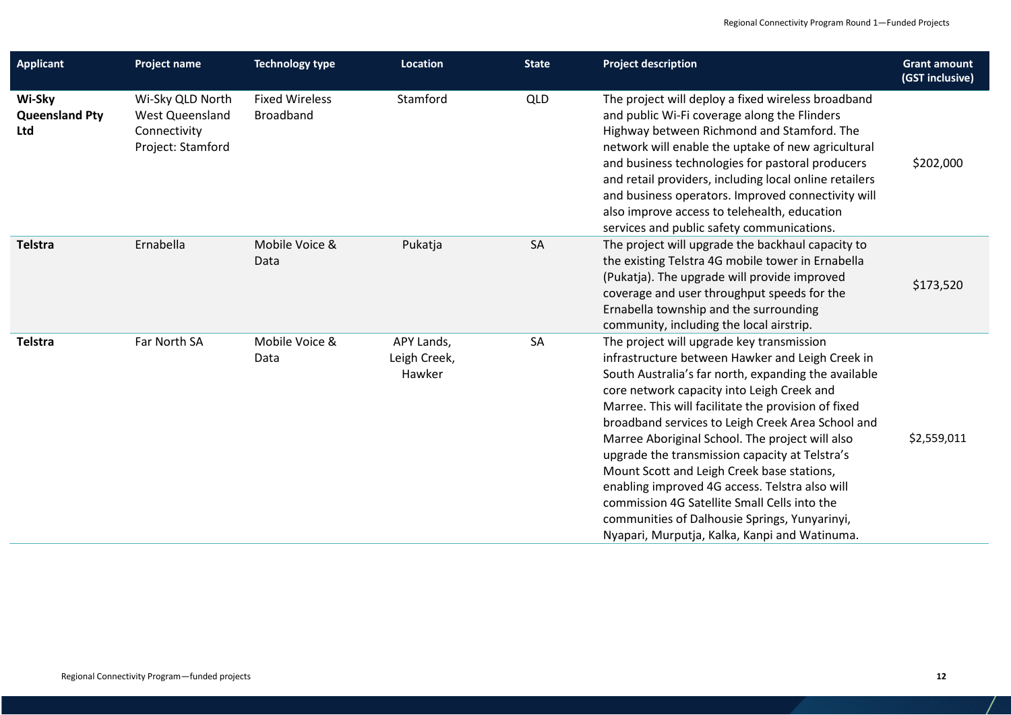| <b>Applicant</b>                       | <b>Project name</b>                                                             | <b>Technology type</b>                    | Location                             | <b>State</b> | <b>Project description</b>                                                                                                                                                                                                                                                                                                                                                                                                                                                                                                                                                                                                                                             | <b>Grant amount</b><br>(GST inclusive) |
|----------------------------------------|---------------------------------------------------------------------------------|-------------------------------------------|--------------------------------------|--------------|------------------------------------------------------------------------------------------------------------------------------------------------------------------------------------------------------------------------------------------------------------------------------------------------------------------------------------------------------------------------------------------------------------------------------------------------------------------------------------------------------------------------------------------------------------------------------------------------------------------------------------------------------------------------|----------------------------------------|
| Wi-Sky<br><b>Queensland Pty</b><br>Ltd | Wi-Sky QLD North<br><b>West Queensland</b><br>Connectivity<br>Project: Stamford | <b>Fixed Wireless</b><br><b>Broadband</b> | Stamford                             | QLD          | The project will deploy a fixed wireless broadband<br>and public Wi-Fi coverage along the Flinders<br>Highway between Richmond and Stamford. The<br>network will enable the uptake of new agricultural<br>and business technologies for pastoral producers<br>and retail providers, including local online retailers<br>and business operators. Improved connectivity will<br>also improve access to telehealth, education<br>services and public safety communications.                                                                                                                                                                                               | \$202,000                              |
| Telstra                                | Ernabella                                                                       | Mobile Voice &<br>Data                    | Pukatja                              | SA           | The project will upgrade the backhaul capacity to<br>the existing Telstra 4G mobile tower in Ernabella<br>(Pukatja). The upgrade will provide improved<br>coverage and user throughput speeds for the<br>Ernabella township and the surrounding<br>community, including the local airstrip.                                                                                                                                                                                                                                                                                                                                                                            | \$173,520                              |
| Telstra                                | Far North SA                                                                    | Mobile Voice &<br>Data                    | APY Lands,<br>Leigh Creek,<br>Hawker | SA           | The project will upgrade key transmission<br>infrastructure between Hawker and Leigh Creek in<br>South Australia's far north, expanding the available<br>core network capacity into Leigh Creek and<br>Marree. This will facilitate the provision of fixed<br>broadband services to Leigh Creek Area School and<br>Marree Aboriginal School. The project will also<br>upgrade the transmission capacity at Telstra's<br>Mount Scott and Leigh Creek base stations,<br>enabling improved 4G access. Telstra also will<br>commission 4G Satellite Small Cells into the<br>communities of Dalhousie Springs, Yunyarinyi,<br>Nyapari, Murputja, Kalka, Kanpi and Watinuma. | \$2,559,011                            |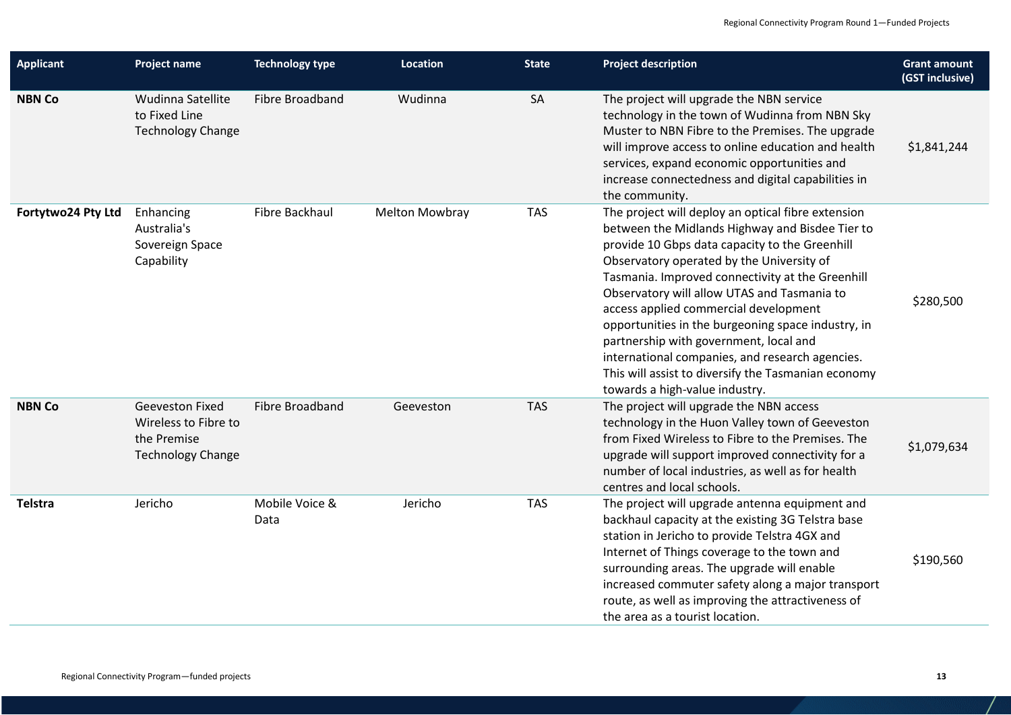| <b>Applicant</b>   | <b>Project name</b>                                                                       | <b>Technology type</b> | <b>Location</b>       | <b>State</b> | <b>Project description</b>                                                                                                                                                                                                                                                                                                                                                                                                                                                                                                                                                                   | <b>Grant amount</b><br>(GST inclusive) |
|--------------------|-------------------------------------------------------------------------------------------|------------------------|-----------------------|--------------|----------------------------------------------------------------------------------------------------------------------------------------------------------------------------------------------------------------------------------------------------------------------------------------------------------------------------------------------------------------------------------------------------------------------------------------------------------------------------------------------------------------------------------------------------------------------------------------------|----------------------------------------|
| <b>NBN Co</b>      | Wudinna Satellite<br>to Fixed Line<br><b>Technology Change</b>                            | Fibre Broadband        | Wudinna               | SA           | The project will upgrade the NBN service<br>technology in the town of Wudinna from NBN Sky<br>Muster to NBN Fibre to the Premises. The upgrade<br>will improve access to online education and health<br>services, expand economic opportunities and<br>increase connectedness and digital capabilities in<br>the community.                                                                                                                                                                                                                                                                  | \$1,841,244                            |
| Fortytwo24 Pty Ltd | Enhancing<br>Australia's<br>Sovereign Space<br>Capability                                 | Fibre Backhaul         | <b>Melton Mowbray</b> | <b>TAS</b>   | The project will deploy an optical fibre extension<br>between the Midlands Highway and Bisdee Tier to<br>provide 10 Gbps data capacity to the Greenhill<br>Observatory operated by the University of<br>Tasmania. Improved connectivity at the Greenhill<br>Observatory will allow UTAS and Tasmania to<br>access applied commercial development<br>opportunities in the burgeoning space industry, in<br>partnership with government, local and<br>international companies, and research agencies.<br>This will assist to diversify the Tasmanian economy<br>towards a high-value industry. | \$280,500                              |
| <b>NBN Co</b>      | <b>Geeveston Fixed</b><br>Wireless to Fibre to<br>the Premise<br><b>Technology Change</b> | Fibre Broadband        | Geeveston             | <b>TAS</b>   | The project will upgrade the NBN access<br>technology in the Huon Valley town of Geeveston<br>from Fixed Wireless to Fibre to the Premises. The<br>upgrade will support improved connectivity for a<br>number of local industries, as well as for health<br>centres and local schools.                                                                                                                                                                                                                                                                                                       | \$1,079,634                            |
| <b>Telstra</b>     | Jericho                                                                                   | Mobile Voice &<br>Data | Jericho               | <b>TAS</b>   | The project will upgrade antenna equipment and<br>backhaul capacity at the existing 3G Telstra base<br>station in Jericho to provide Telstra 4GX and<br>Internet of Things coverage to the town and<br>surrounding areas. The upgrade will enable<br>increased commuter safety along a major transport<br>route, as well as improving the attractiveness of<br>the area as a tourist location.                                                                                                                                                                                               | \$190,560                              |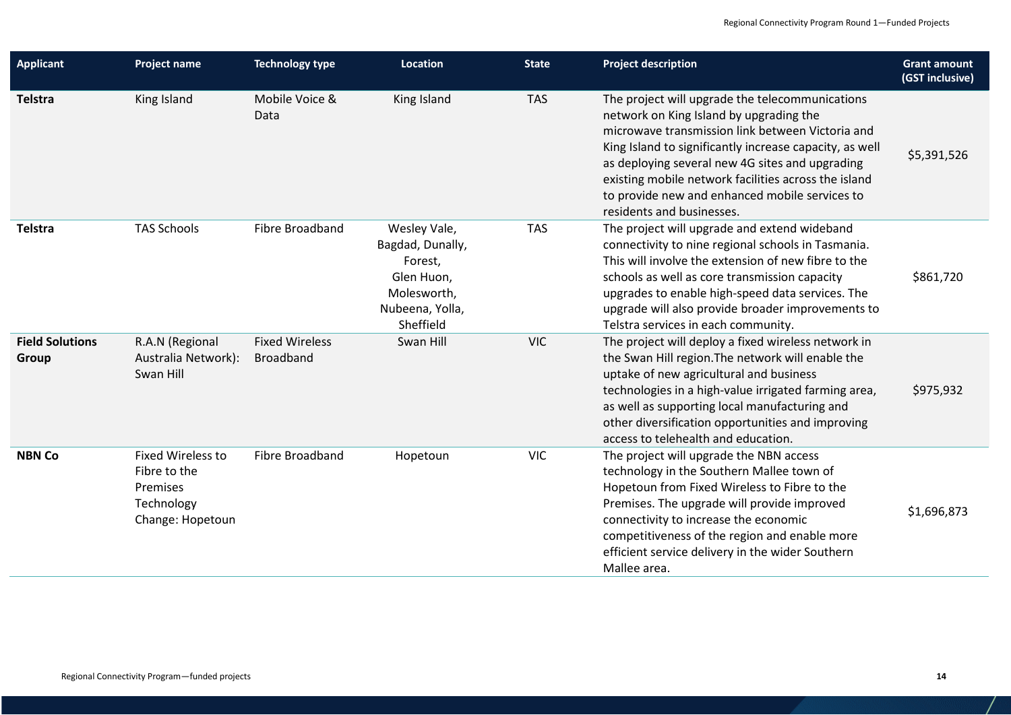| <b>Applicant</b>                | <b>Project name</b>                                                                    | <b>Technology type</b>             | <b>Location</b>                                                                                          | <b>State</b> | <b>Project description</b>                                                                                                                                                                                                                                                                                                                                                                          | <b>Grant amount</b><br>(GST inclusive) |
|---------------------------------|----------------------------------------------------------------------------------------|------------------------------------|----------------------------------------------------------------------------------------------------------|--------------|-----------------------------------------------------------------------------------------------------------------------------------------------------------------------------------------------------------------------------------------------------------------------------------------------------------------------------------------------------------------------------------------------------|----------------------------------------|
| <b>Telstra</b>                  | King Island                                                                            | Mobile Voice &<br>Data             | King Island                                                                                              | <b>TAS</b>   | The project will upgrade the telecommunications<br>network on King Island by upgrading the<br>microwave transmission link between Victoria and<br>King Island to significantly increase capacity, as well<br>as deploying several new 4G sites and upgrading<br>existing mobile network facilities across the island<br>to provide new and enhanced mobile services to<br>residents and businesses. | \$5,391,526                            |
| Telstra                         | <b>TAS Schools</b>                                                                     | Fibre Broadband                    | Wesley Vale,<br>Bagdad, Dunally,<br>Forest,<br>Glen Huon,<br>Molesworth,<br>Nubeena, Yolla,<br>Sheffield | <b>TAS</b>   | The project will upgrade and extend wideband<br>connectivity to nine regional schools in Tasmania.<br>This will involve the extension of new fibre to the<br>schools as well as core transmission capacity<br>upgrades to enable high-speed data services. The<br>upgrade will also provide broader improvements to<br>Telstra services in each community.                                          | \$861,720                              |
| <b>Field Solutions</b><br>Group | R.A.N (Regional<br>Australia Network):<br>Swan Hill                                    | <b>Fixed Wireless</b><br>Broadband | Swan Hill                                                                                                | <b>VIC</b>   | The project will deploy a fixed wireless network in<br>the Swan Hill region. The network will enable the<br>uptake of new agricultural and business<br>technologies in a high-value irrigated farming area,<br>as well as supporting local manufacturing and<br>other diversification opportunities and improving<br>access to telehealth and education.                                            | \$975,932                              |
| <b>NBN Co</b>                   | <b>Fixed Wireless to</b><br>Fibre to the<br>Premises<br>Technology<br>Change: Hopetoun | <b>Fibre Broadband</b>             | Hopetoun                                                                                                 | <b>VIC</b>   | The project will upgrade the NBN access<br>technology in the Southern Mallee town of<br>Hopetoun from Fixed Wireless to Fibre to the<br>Premises. The upgrade will provide improved<br>connectivity to increase the economic<br>competitiveness of the region and enable more<br>efficient service delivery in the wider Southern<br>Mallee area.                                                   | \$1,696,873                            |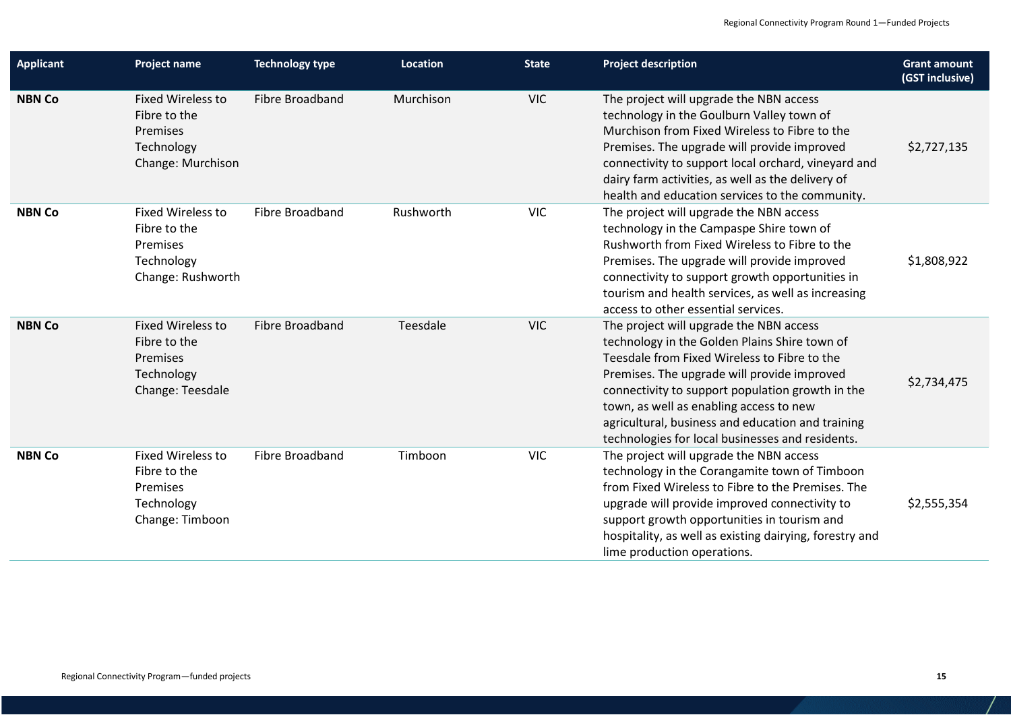| <b>Applicant</b> | <b>Project name</b>                                                                     | <b>Technology type</b> | Location  | <b>State</b> | <b>Project description</b>                                                                                                                                                                                                                                                                                                                                                                      | <b>Grant amount</b><br>(GST inclusive) |
|------------------|-----------------------------------------------------------------------------------------|------------------------|-----------|--------------|-------------------------------------------------------------------------------------------------------------------------------------------------------------------------------------------------------------------------------------------------------------------------------------------------------------------------------------------------------------------------------------------------|----------------------------------------|
| <b>NBN Co</b>    | <b>Fixed Wireless to</b><br>Fibre to the<br>Premises<br>Technology<br>Change: Murchison | Fibre Broadband        | Murchison | <b>VIC</b>   | The project will upgrade the NBN access<br>technology in the Goulburn Valley town of<br>Murchison from Fixed Wireless to Fibre to the<br>Premises. The upgrade will provide improved<br>connectivity to support local orchard, vineyard and<br>dairy farm activities, as well as the delivery of<br>health and education services to the community.                                             | \$2,727,135                            |
| <b>NBN Co</b>    | <b>Fixed Wireless to</b><br>Fibre to the<br>Premises<br>Technology<br>Change: Rushworth | Fibre Broadband        | Rushworth | <b>VIC</b>   | The project will upgrade the NBN access<br>technology in the Campaspe Shire town of<br>Rushworth from Fixed Wireless to Fibre to the<br>Premises. The upgrade will provide improved<br>connectivity to support growth opportunities in<br>tourism and health services, as well as increasing<br>access to other essential services.                                                             | \$1,808,922                            |
| <b>NBN Co</b>    | <b>Fixed Wireless to</b><br>Fibre to the<br>Premises<br>Technology<br>Change: Teesdale  | Fibre Broadband        | Teesdale  | <b>VIC</b>   | The project will upgrade the NBN access<br>technology in the Golden Plains Shire town of<br>Teesdale from Fixed Wireless to Fibre to the<br>Premises. The upgrade will provide improved<br>connectivity to support population growth in the<br>town, as well as enabling access to new<br>agricultural, business and education and training<br>technologies for local businesses and residents. | \$2,734,475                            |
| <b>NBN Co</b>    | <b>Fixed Wireless to</b><br>Fibre to the<br>Premises<br>Technology<br>Change: Timboon   | Fibre Broadband        | Timboon   | <b>VIC</b>   | The project will upgrade the NBN access<br>technology in the Corangamite town of Timboon<br>from Fixed Wireless to Fibre to the Premises. The<br>upgrade will provide improved connectivity to<br>support growth opportunities in tourism and<br>hospitality, as well as existing dairying, forestry and<br>lime production operations.                                                         | \$2,555,354                            |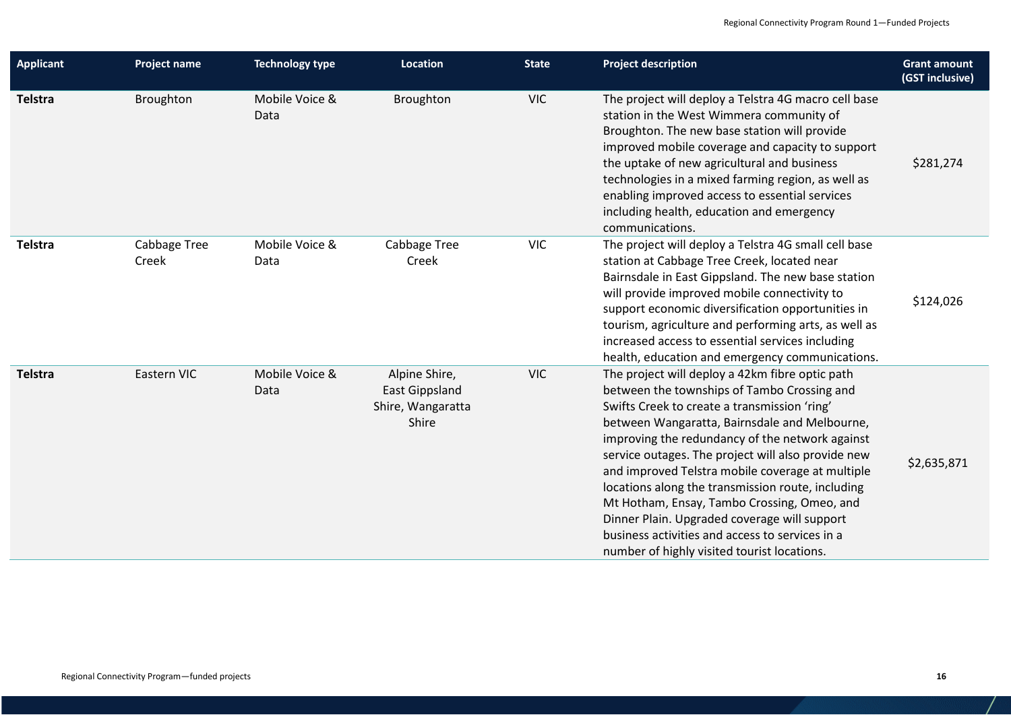| <b>Applicant</b> | Project name          | <b>Technology type</b> | <b>Location</b>                                                      | <b>State</b> | <b>Project description</b>                                                                                                                                                                                                                                                                                                                                                                                                                                                                                                                                                                                         | <b>Grant amount</b><br>(GST inclusive) |
|------------------|-----------------------|------------------------|----------------------------------------------------------------------|--------------|--------------------------------------------------------------------------------------------------------------------------------------------------------------------------------------------------------------------------------------------------------------------------------------------------------------------------------------------------------------------------------------------------------------------------------------------------------------------------------------------------------------------------------------------------------------------------------------------------------------------|----------------------------------------|
| Telstra          | Broughton             | Mobile Voice &<br>Data | Broughton                                                            | <b>VIC</b>   | The project will deploy a Telstra 4G macro cell base<br>station in the West Wimmera community of<br>Broughton. The new base station will provide<br>improved mobile coverage and capacity to support<br>the uptake of new agricultural and business<br>technologies in a mixed farming region, as well as<br>enabling improved access to essential services<br>including health, education and emergency<br>communications.                                                                                                                                                                                        | \$281,274                              |
| Telstra          | Cabbage Tree<br>Creek | Mobile Voice &<br>Data | Cabbage Tree<br>Creek                                                | <b>VIC</b>   | The project will deploy a Telstra 4G small cell base<br>station at Cabbage Tree Creek, located near<br>Bairnsdale in East Gippsland. The new base station<br>will provide improved mobile connectivity to<br>support economic diversification opportunities in<br>tourism, agriculture and performing arts, as well as<br>increased access to essential services including<br>health, education and emergency communications.                                                                                                                                                                                      | \$124,026                              |
| <b>Telstra</b>   | Eastern VIC           | Mobile Voice &<br>Data | Alpine Shire,<br><b>East Gippsland</b><br>Shire, Wangaratta<br>Shire | <b>VIC</b>   | The project will deploy a 42km fibre optic path<br>between the townships of Tambo Crossing and<br>Swifts Creek to create a transmission 'ring'<br>between Wangaratta, Bairnsdale and Melbourne,<br>improving the redundancy of the network against<br>service outages. The project will also provide new<br>and improved Telstra mobile coverage at multiple<br>locations along the transmission route, including<br>Mt Hotham, Ensay, Tambo Crossing, Omeo, and<br>Dinner Plain. Upgraded coverage will support<br>business activities and access to services in a<br>number of highly visited tourist locations. | \$2,635,871                            |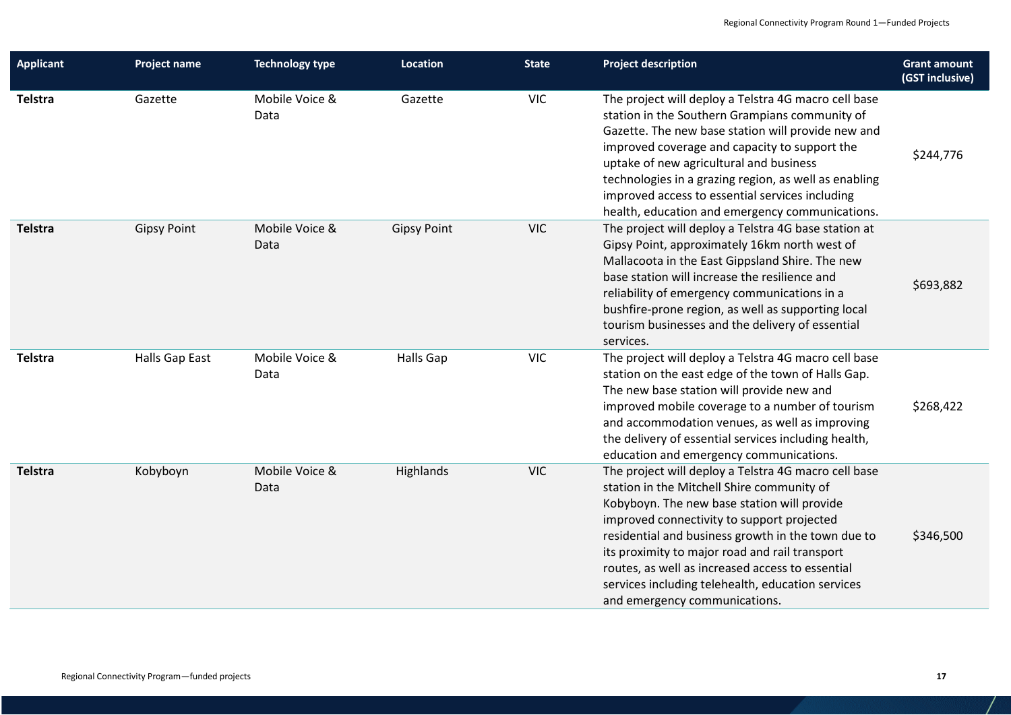| <b>Applicant</b> | <b>Project name</b> | <b>Technology type</b> | Location           | <b>State</b> | <b>Project description</b>                                                                                                                                                                                                                                                                                                                                                                                                                        | <b>Grant amount</b><br>(GST inclusive) |
|------------------|---------------------|------------------------|--------------------|--------------|---------------------------------------------------------------------------------------------------------------------------------------------------------------------------------------------------------------------------------------------------------------------------------------------------------------------------------------------------------------------------------------------------------------------------------------------------|----------------------------------------|
| <b>Telstra</b>   | Gazette             | Mobile Voice &<br>Data | Gazette            | <b>VIC</b>   | The project will deploy a Telstra 4G macro cell base<br>station in the Southern Grampians community of<br>Gazette. The new base station will provide new and<br>improved coverage and capacity to support the<br>uptake of new agricultural and business<br>technologies in a grazing region, as well as enabling<br>improved access to essential services including<br>health, education and emergency communications.                           | \$244,776                              |
| <b>Telstra</b>   | <b>Gipsy Point</b>  | Mobile Voice &<br>Data | <b>Gipsy Point</b> | <b>VIC</b>   | The project will deploy a Telstra 4G base station at<br>Gipsy Point, approximately 16km north west of<br>Mallacoota in the East Gippsland Shire. The new<br>base station will increase the resilience and<br>reliability of emergency communications in a<br>bushfire-prone region, as well as supporting local<br>tourism businesses and the delivery of essential<br>services.                                                                  | \$693,882                              |
| <b>Telstra</b>   | Halls Gap East      | Mobile Voice &<br>Data | Halls Gap          | <b>VIC</b>   | The project will deploy a Telstra 4G macro cell base<br>station on the east edge of the town of Halls Gap.<br>The new base station will provide new and<br>improved mobile coverage to a number of tourism<br>and accommodation venues, as well as improving<br>the delivery of essential services including health,<br>education and emergency communications.                                                                                   | \$268,422                              |
| <b>Telstra</b>   | Kobyboyn            | Mobile Voice &<br>Data | Highlands          | <b>VIC</b>   | The project will deploy a Telstra 4G macro cell base<br>station in the Mitchell Shire community of<br>Kobyboyn. The new base station will provide<br>improved connectivity to support projected<br>residential and business growth in the town due to<br>its proximity to major road and rail transport<br>routes, as well as increased access to essential<br>services including telehealth, education services<br>and emergency communications. | \$346,500                              |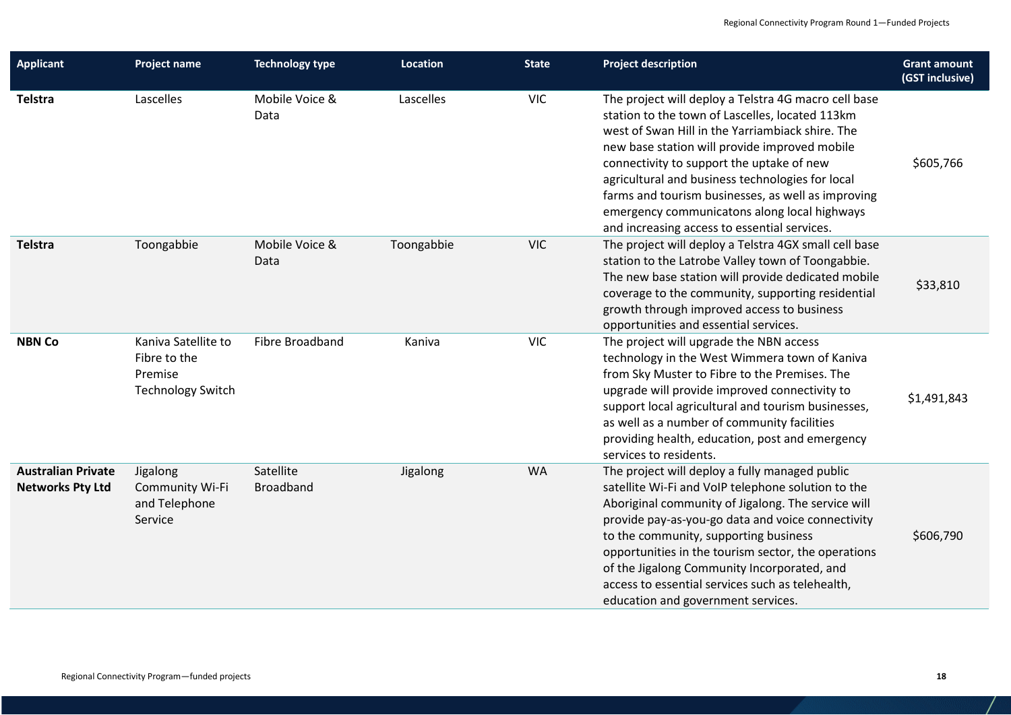| <b>Applicant</b>                                     | <b>Project name</b>                                                        | <b>Technology type</b>        | <b>Location</b> | <b>State</b> | <b>Project description</b>                                                                                                                                                                                                                                                                                                                                                                                                                                          | <b>Grant amount</b><br>(GST inclusive) |
|------------------------------------------------------|----------------------------------------------------------------------------|-------------------------------|-----------------|--------------|---------------------------------------------------------------------------------------------------------------------------------------------------------------------------------------------------------------------------------------------------------------------------------------------------------------------------------------------------------------------------------------------------------------------------------------------------------------------|----------------------------------------|
| Telstra                                              | Lascelles                                                                  | Mobile Voice &<br>Data        | Lascelles       | <b>VIC</b>   | The project will deploy a Telstra 4G macro cell base<br>station to the town of Lascelles, located 113km<br>west of Swan Hill in the Yarriambiack shire. The<br>new base station will provide improved mobile<br>connectivity to support the uptake of new<br>agricultural and business technologies for local<br>farms and tourism businesses, as well as improving<br>emergency communicatons along local highways<br>and increasing access to essential services. | \$605,766                              |
| <b>Telstra</b>                                       | Toongabbie                                                                 | Mobile Voice &<br>Data        | Toongabbie      | <b>VIC</b>   | The project will deploy a Telstra 4GX small cell base<br>station to the Latrobe Valley town of Toongabbie.<br>The new base station will provide dedicated mobile<br>coverage to the community, supporting residential<br>growth through improved access to business<br>opportunities and essential services.                                                                                                                                                        | \$33,810                               |
| <b>NBN Co</b>                                        | Kaniva Satellite to<br>Fibre to the<br>Premise<br><b>Technology Switch</b> | Fibre Broadband               | Kaniva          | <b>VIC</b>   | The project will upgrade the NBN access<br>technology in the West Wimmera town of Kaniva<br>from Sky Muster to Fibre to the Premises. The<br>upgrade will provide improved connectivity to<br>support local agricultural and tourism businesses,<br>as well as a number of community facilities<br>providing health, education, post and emergency<br>services to residents.                                                                                        | \$1,491,843                            |
| <b>Australian Private</b><br><b>Networks Pty Ltd</b> | Jigalong<br><b>Community Wi-Fi</b><br>and Telephone<br>Service             | Satellite<br><b>Broadband</b> | Jigalong        | <b>WA</b>    | The project will deploy a fully managed public<br>satellite Wi-Fi and VoIP telephone solution to the<br>Aboriginal community of Jigalong. The service will<br>provide pay-as-you-go data and voice connectivity<br>to the community, supporting business<br>opportunities in the tourism sector, the operations<br>of the Jigalong Community Incorporated, and<br>access to essential services such as telehealth,<br>education and government services.            | \$606,790                              |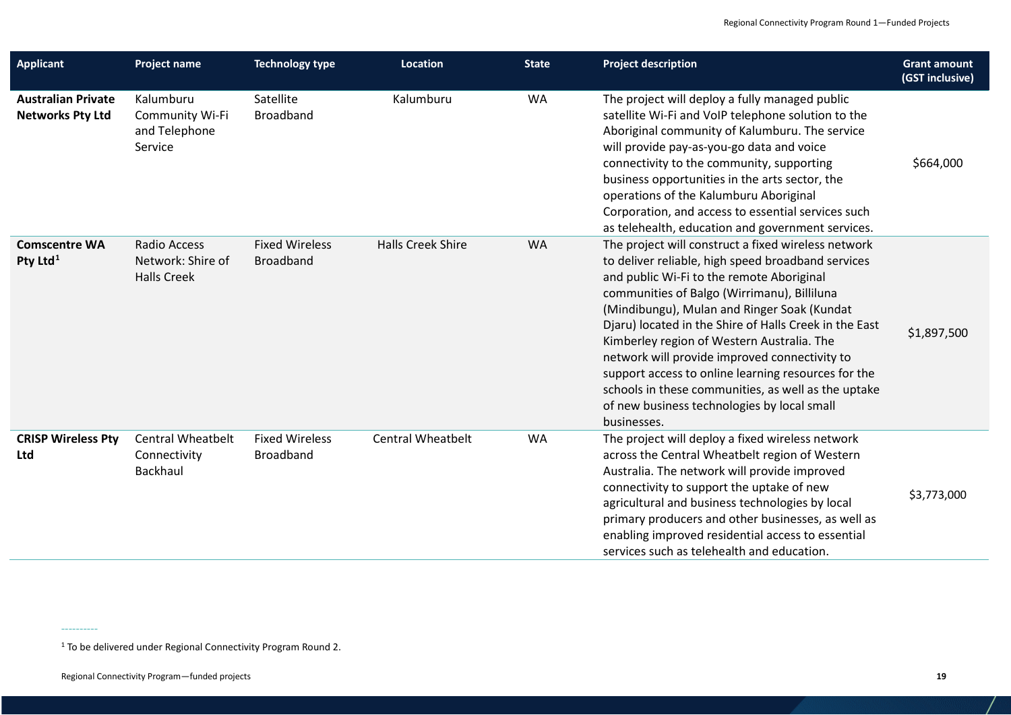<span id="page-18-0"></span>

| <b>Applicant</b>                                     | <b>Project name</b>                                            | <b>Technology type</b>                    | <b>Location</b>          | <b>State</b> | <b>Project description</b>                                                                                                                                                                                                                                                                                                                                                                                                                                                                                                                                                                | <b>Grant amount</b><br>(GST inclusive) |
|------------------------------------------------------|----------------------------------------------------------------|-------------------------------------------|--------------------------|--------------|-------------------------------------------------------------------------------------------------------------------------------------------------------------------------------------------------------------------------------------------------------------------------------------------------------------------------------------------------------------------------------------------------------------------------------------------------------------------------------------------------------------------------------------------------------------------------------------------|----------------------------------------|
| <b>Australian Private</b><br><b>Networks Pty Ltd</b> | Kalumburu<br>Community Wi-Fi<br>and Telephone<br>Service       | Satellite<br><b>Broadband</b>             | Kalumburu                | WA           | The project will deploy a fully managed public<br>satellite Wi-Fi and VoIP telephone solution to the<br>Aboriginal community of Kalumburu. The service<br>will provide pay-as-you-go data and voice<br>connectivity to the community, supporting<br>business opportunities in the arts sector, the<br>operations of the Kalumburu Aboriginal<br>Corporation, and access to essential services such<br>as telehealth, education and government services.                                                                                                                                   | \$664,000                              |
| <b>Comscentre WA</b><br>Pty Ltd <sup>1</sup>         | <b>Radio Access</b><br>Network: Shire of<br><b>Halls Creek</b> | <b>Fixed Wireless</b><br><b>Broadband</b> | <b>Halls Creek Shire</b> | <b>WA</b>    | The project will construct a fixed wireless network<br>to deliver reliable, high speed broadband services<br>and public Wi-Fi to the remote Aboriginal<br>communities of Balgo (Wirrimanu), Billiluna<br>(Mindibungu), Mulan and Ringer Soak (Kundat<br>Djaru) located in the Shire of Halls Creek in the East<br>Kimberley region of Western Australia. The<br>network will provide improved connectivity to<br>support access to online learning resources for the<br>schools in these communities, as well as the uptake<br>of new business technologies by local small<br>businesses. | \$1,897,500                            |
| <b>CRISP Wireless Pty</b><br>Ltd                     | <b>Central Wheatbelt</b><br>Connectivity<br>Backhaul           | <b>Fixed Wireless</b><br><b>Broadband</b> | <b>Central Wheatbelt</b> | <b>WA</b>    | The project will deploy a fixed wireless network<br>across the Central Wheatbelt region of Western<br>Australia. The network will provide improved<br>connectivity to support the uptake of new<br>agricultural and business technologies by local<br>primary producers and other businesses, as well as<br>enabling improved residential access to essential<br>services such as telehealth and education.                                                                                                                                                                               | \$3,773,000                            |

----------

<sup>&</sup>lt;sup>1</sup> To be delivered under Regional Connectivity Program Round 2.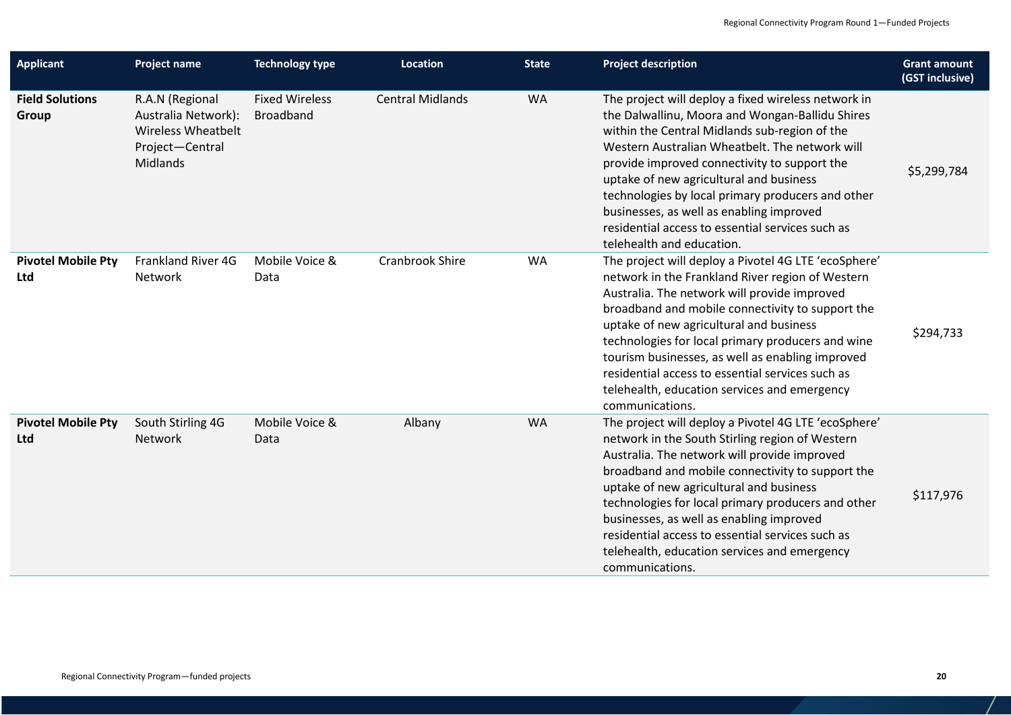| <b>Applicant</b>                        | <b>Project name</b>                                                                                | <b>Technology type</b>                    | Location                | <b>State</b> | <b>Project description</b>                                                                                                                                                                                                                                                                                                                                                                                                                                                              | <b>Grant amount</b><br>(GST inclusive) |
|-----------------------------------------|----------------------------------------------------------------------------------------------------|-------------------------------------------|-------------------------|--------------|-----------------------------------------------------------------------------------------------------------------------------------------------------------------------------------------------------------------------------------------------------------------------------------------------------------------------------------------------------------------------------------------------------------------------------------------------------------------------------------------|----------------------------------------|
| <b>Field Solutions</b><br>Group         | R.A.N (Regional<br>Australia Network):<br><b>Wireless Wheatbelt</b><br>Project-Central<br>Midlands | <b>Fixed Wireless</b><br><b>Broadband</b> | <b>Central Midlands</b> | <b>WA</b>    | The project will deploy a fixed wireless network in<br>the Dalwallinu, Moora and Wongan-Ballidu Shires<br>within the Central Midlands sub-region of the<br>Western Australian Wheatbelt. The network will<br>provide improved connectivity to support the<br>uptake of new agricultural and business<br>technologies by local primary producers and other<br>businesses, as well as enabling improved<br>residential access to essential services such as<br>telehealth and education.  | \$5,299,784                            |
| <b>Pivotel Mobile Pty</b><br>Ltd        | Frankland River 4G<br>Network                                                                      | Mobile Voice &<br>Data                    | Cranbrook Shire         | <b>WA</b>    | The project will deploy a Pivotel 4G LTE 'ecoSphere'<br>network in the Frankland River region of Western<br>Australia. The network will provide improved<br>broadband and mobile connectivity to support the<br>uptake of new agricultural and business<br>technologies for local primary producers and wine<br>tourism businesses, as well as enabling improved<br>residential access to essential services such as<br>telehealth, education services and emergency<br>communications. | \$294,733                              |
| <b>Pivotel Mobile Pty</b><br><b>Ltd</b> | South Stirling 4G<br>Network                                                                       | Mobile Voice &<br>Data                    | Albany                  | <b>WA</b>    | The project will deploy a Pivotel 4G LTE 'ecoSphere'<br>network in the South Stirling region of Western<br>Australia. The network will provide improved<br>broadband and mobile connectivity to support the<br>uptake of new agricultural and business<br>technologies for local primary producers and other<br>businesses, as well as enabling improved<br>residential access to essential services such as<br>telehealth, education services and emergency<br>communications.         | \$117,976                              |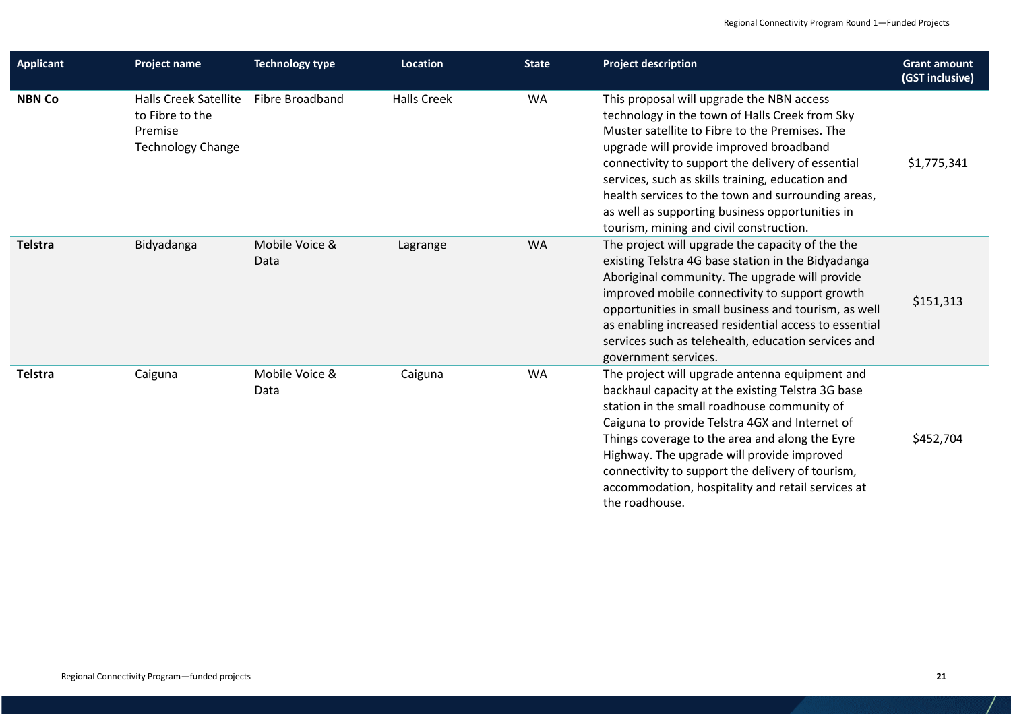| <b>Applicant</b> | <b>Project name</b>                                                                    | <b>Technology type</b> | Location           | <b>State</b> | <b>Project description</b>                                                                                                                                                                                                                                                                                                                                                                                                                            | <b>Grant amount</b><br>(GST inclusive) |
|------------------|----------------------------------------------------------------------------------------|------------------------|--------------------|--------------|-------------------------------------------------------------------------------------------------------------------------------------------------------------------------------------------------------------------------------------------------------------------------------------------------------------------------------------------------------------------------------------------------------------------------------------------------------|----------------------------------------|
| <b>NBN Co</b>    | <b>Halls Creek Satellite</b><br>to Fibre to the<br>Premise<br><b>Technology Change</b> | Fibre Broadband        | <b>Halls Creek</b> | <b>WA</b>    | This proposal will upgrade the NBN access<br>technology in the town of Halls Creek from Sky<br>Muster satellite to Fibre to the Premises. The<br>upgrade will provide improved broadband<br>connectivity to support the delivery of essential<br>services, such as skills training, education and<br>health services to the town and surrounding areas,<br>as well as supporting business opportunities in<br>tourism, mining and civil construction. | \$1,775,341                            |
| <b>Telstra</b>   | Bidyadanga                                                                             | Mobile Voice &<br>Data | Lagrange           | <b>WA</b>    | The project will upgrade the capacity of the the<br>existing Telstra 4G base station in the Bidyadanga<br>Aboriginal community. The upgrade will provide<br>improved mobile connectivity to support growth<br>opportunities in small business and tourism, as well<br>as enabling increased residential access to essential<br>services such as telehealth, education services and<br>government services.                                            | \$151,313                              |
| <b>Telstra</b>   | Caiguna                                                                                | Mobile Voice &<br>Data | Caiguna            | <b>WA</b>    | The project will upgrade antenna equipment and<br>backhaul capacity at the existing Telstra 3G base<br>station in the small roadhouse community of<br>Caiguna to provide Telstra 4GX and Internet of<br>Things coverage to the area and along the Eyre<br>Highway. The upgrade will provide improved<br>connectivity to support the delivery of tourism,<br>accommodation, hospitality and retail services at<br>the roadhouse.                       | \$452,704                              |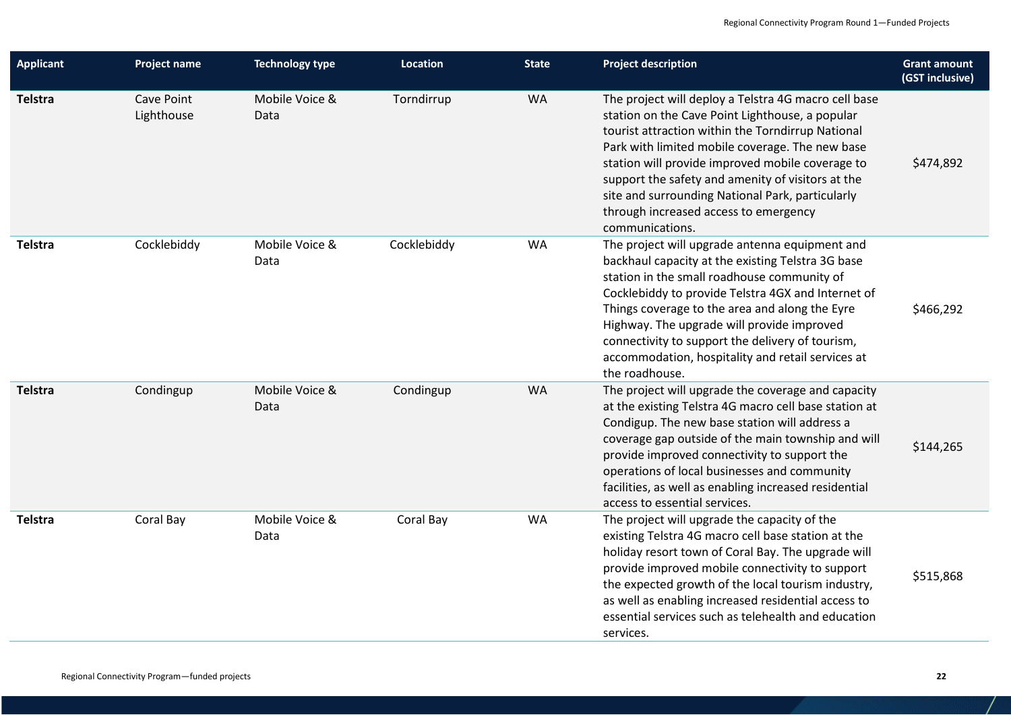| <b>Applicant</b> | <b>Project name</b>      | <b>Technology type</b> | Location    | <b>State</b> | <b>Project description</b>                                                                                                                                                                                                                                                                                                                                                                                                               | <b>Grant amount</b><br>(GST inclusive) |
|------------------|--------------------------|------------------------|-------------|--------------|------------------------------------------------------------------------------------------------------------------------------------------------------------------------------------------------------------------------------------------------------------------------------------------------------------------------------------------------------------------------------------------------------------------------------------------|----------------------------------------|
| Telstra          | Cave Point<br>Lighthouse | Mobile Voice &<br>Data | Torndirrup  | WA           | The project will deploy a Telstra 4G macro cell base<br>station on the Cave Point Lighthouse, a popular<br>tourist attraction within the Torndirrup National<br>Park with limited mobile coverage. The new base<br>station will provide improved mobile coverage to<br>support the safety and amenity of visitors at the<br>site and surrounding National Park, particularly<br>through increased access to emergency<br>communications. | \$474,892                              |
| Telstra          | Cocklebiddy              | Mobile Voice &<br>Data | Cocklebiddy | <b>WA</b>    | The project will upgrade antenna equipment and<br>backhaul capacity at the existing Telstra 3G base<br>station in the small roadhouse community of<br>Cocklebiddy to provide Telstra 4GX and Internet of<br>Things coverage to the area and along the Eyre<br>Highway. The upgrade will provide improved<br>connectivity to support the delivery of tourism,<br>accommodation, hospitality and retail services at<br>the roadhouse.      | \$466,292                              |
| Telstra          | Condingup                | Mobile Voice &<br>Data | Condingup   | <b>WA</b>    | The project will upgrade the coverage and capacity<br>at the existing Telstra 4G macro cell base station at<br>Condigup. The new base station will address a<br>coverage gap outside of the main township and will<br>provide improved connectivity to support the<br>operations of local businesses and community<br>facilities, as well as enabling increased residential<br>access to essential services.                             | \$144,265                              |
| Telstra          | Coral Bay                | Mobile Voice &<br>Data | Coral Bay   | <b>WA</b>    | The project will upgrade the capacity of the<br>existing Telstra 4G macro cell base station at the<br>holiday resort town of Coral Bay. The upgrade will<br>provide improved mobile connectivity to support<br>the expected growth of the local tourism industry,<br>as well as enabling increased residential access to<br>essential services such as telehealth and education<br>services.                                             | \$515,868                              |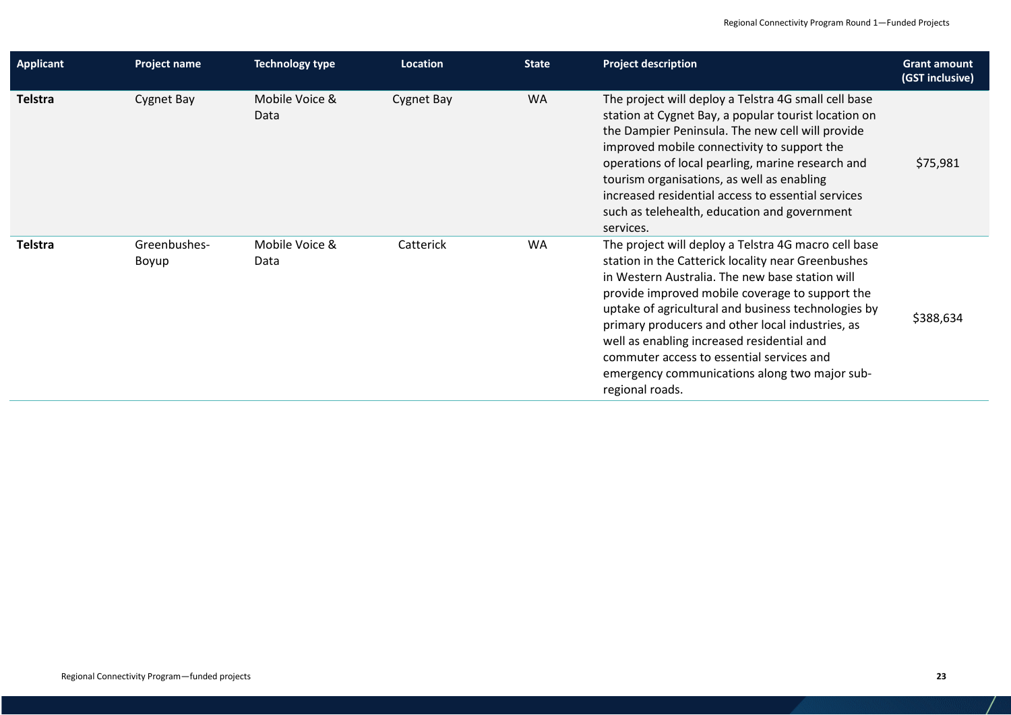| <b>Applicant</b> | Project name          | <b>Technology type</b> | Location          | <b>State</b> | <b>Project description</b>                                                                                                                                                                                                                                                                                                                                                                                                                                                                 | <b>Grant amount</b><br>(GST inclusive) |
|------------------|-----------------------|------------------------|-------------------|--------------|--------------------------------------------------------------------------------------------------------------------------------------------------------------------------------------------------------------------------------------------------------------------------------------------------------------------------------------------------------------------------------------------------------------------------------------------------------------------------------------------|----------------------------------------|
| Telstra          | Cygnet Bay            | Mobile Voice &<br>Data | <b>Cygnet Bay</b> | <b>WA</b>    | The project will deploy a Telstra 4G small cell base<br>station at Cygnet Bay, a popular tourist location on<br>the Dampier Peninsula. The new cell will provide<br>improved mobile connectivity to support the<br>operations of local pearling, marine research and<br>tourism organisations, as well as enabling<br>increased residential access to essential services<br>such as telehealth, education and government<br>services.                                                      | \$75,981                               |
| Telstra          | Greenbushes-<br>Boyup | Mobile Voice &<br>Data | Catterick         | <b>WA</b>    | The project will deploy a Telstra 4G macro cell base<br>station in the Catterick locality near Greenbushes<br>in Western Australia. The new base station will<br>provide improved mobile coverage to support the<br>uptake of agricultural and business technologies by<br>primary producers and other local industries, as<br>well as enabling increased residential and<br>commuter access to essential services and<br>emergency communications along two major sub-<br>regional roads. | \$388,634                              |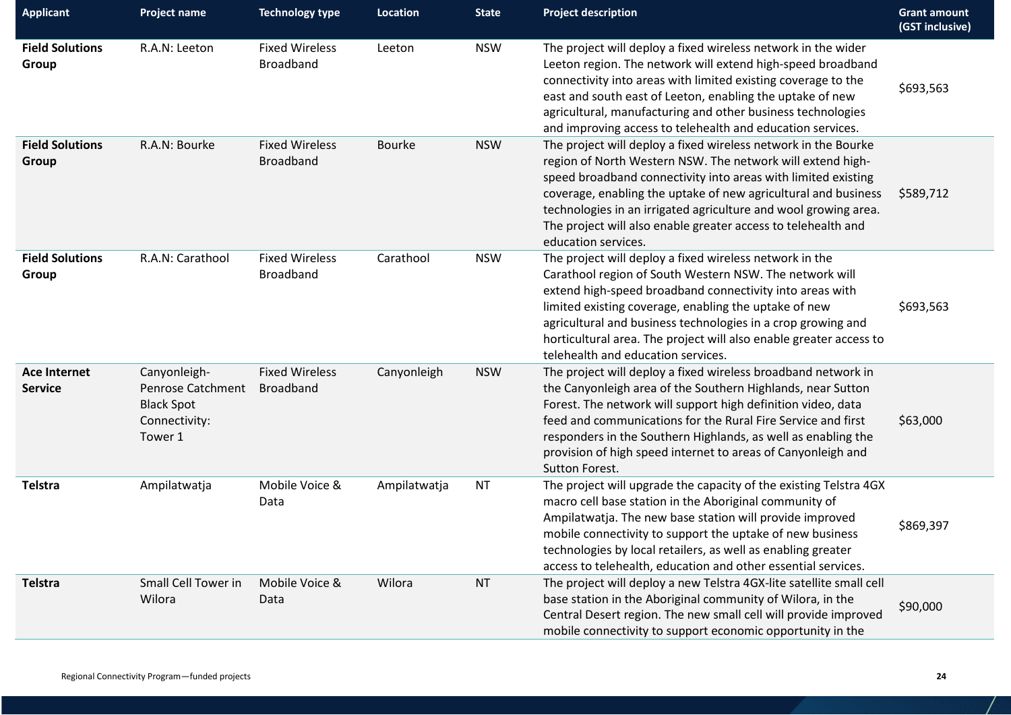| <b>Applicant</b>                      | <b>Project name</b>                                                                | <b>Technology type</b>                    | <b>Location</b> | <b>State</b> | <b>Project description</b>                                                                                                                                                                                                                                                                                                                                                                                                 | <b>Grant amount</b><br>(GST inclusive) |
|---------------------------------------|------------------------------------------------------------------------------------|-------------------------------------------|-----------------|--------------|----------------------------------------------------------------------------------------------------------------------------------------------------------------------------------------------------------------------------------------------------------------------------------------------------------------------------------------------------------------------------------------------------------------------------|----------------------------------------|
| <b>Field Solutions</b><br>Group       | R.A.N: Leeton                                                                      | <b>Fixed Wireless</b><br>Broadband        | Leeton          | <b>NSW</b>   | The project will deploy a fixed wireless network in the wider<br>Leeton region. The network will extend high-speed broadband<br>connectivity into areas with limited existing coverage to the<br>east and south east of Leeton, enabling the uptake of new<br>agricultural, manufacturing and other business technologies<br>and improving access to telehealth and education services.                                    | \$693,563                              |
| <b>Field Solutions</b><br>Group       | R.A.N: Bourke                                                                      | <b>Fixed Wireless</b><br><b>Broadband</b> | <b>Bourke</b>   | <b>NSW</b>   | The project will deploy a fixed wireless network in the Bourke<br>region of North Western NSW. The network will extend high-<br>speed broadband connectivity into areas with limited existing<br>coverage, enabling the uptake of new agricultural and business<br>technologies in an irrigated agriculture and wool growing area.<br>The project will also enable greater access to telehealth and<br>education services. | \$589,712                              |
| <b>Field Solutions</b><br>Group       | R.A.N: Carathool                                                                   | <b>Fixed Wireless</b><br>Broadband        | Carathool       | <b>NSW</b>   | The project will deploy a fixed wireless network in the<br>Carathool region of South Western NSW. The network will<br>extend high-speed broadband connectivity into areas with<br>limited existing coverage, enabling the uptake of new<br>agricultural and business technologies in a crop growing and<br>horticultural area. The project will also enable greater access to<br>telehealth and education services.        | \$693,563                              |
| <b>Ace Internet</b><br><b>Service</b> | Canyonleigh-<br>Penrose Catchment<br><b>Black Spot</b><br>Connectivity:<br>Tower 1 | <b>Fixed Wireless</b><br><b>Broadband</b> | Canyonleigh     | <b>NSW</b>   | The project will deploy a fixed wireless broadband network in<br>the Canyonleigh area of the Southern Highlands, near Sutton<br>Forest. The network will support high definition video, data<br>feed and communications for the Rural Fire Service and first<br>responders in the Southern Highlands, as well as enabling the<br>provision of high speed internet to areas of Canyonleigh and<br>Sutton Forest.            | \$63,000                               |
| Telstra                               | Ampilatwatja                                                                       | Mobile Voice &<br>Data                    | Ampilatwatja    | <b>NT</b>    | The project will upgrade the capacity of the existing Telstra 4GX<br>macro cell base station in the Aboriginal community of<br>Ampilatwatja. The new base station will provide improved<br>mobile connectivity to support the uptake of new business<br>technologies by local retailers, as well as enabling greater<br>access to telehealth, education and other essential services.                                      | \$869,397                              |
| Telstra                               | Small Cell Tower in<br>Wilora                                                      | Mobile Voice &<br>Data                    | Wilora          | <b>NT</b>    | The project will deploy a new Telstra 4GX-lite satellite small cell<br>base station in the Aboriginal community of Wilora, in the<br>Central Desert region. The new small cell will provide improved<br>mobile connectivity to support economic opportunity in the                                                                                                                                                         | \$90,000                               |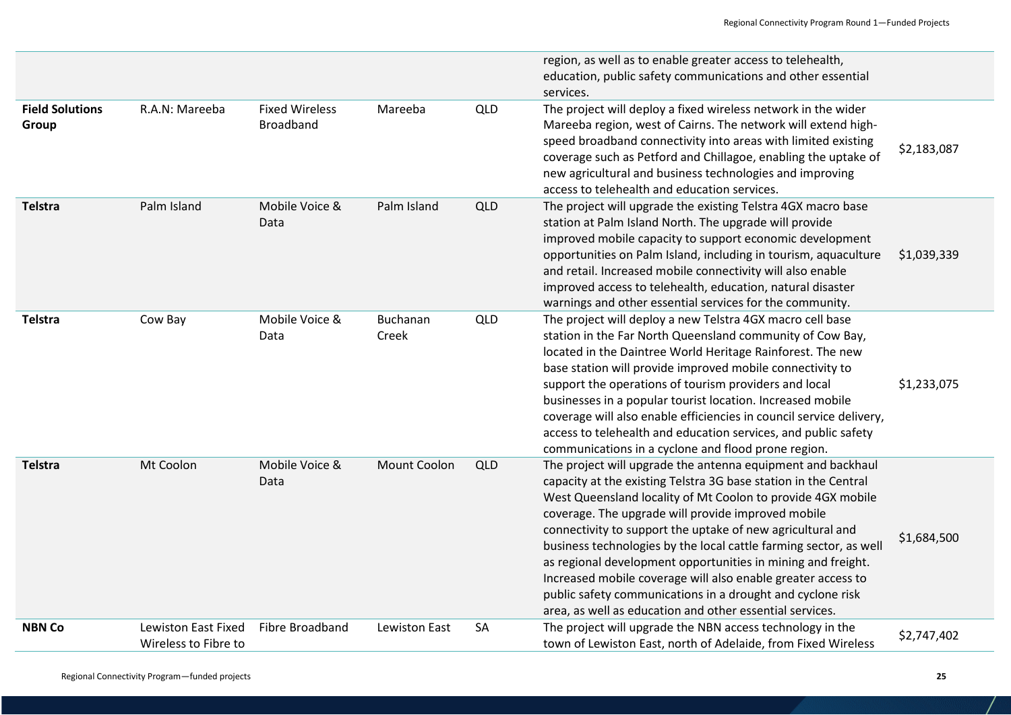|                                 |                                             |                                           |                     |            | region, as well as to enable greater access to telehealth,<br>education, public safety communications and other essential<br>services.                                                                                                                                                                                                                                                                                                                                                                                                                                                                                                           |             |
|---------------------------------|---------------------------------------------|-------------------------------------------|---------------------|------------|--------------------------------------------------------------------------------------------------------------------------------------------------------------------------------------------------------------------------------------------------------------------------------------------------------------------------------------------------------------------------------------------------------------------------------------------------------------------------------------------------------------------------------------------------------------------------------------------------------------------------------------------------|-------------|
| <b>Field Solutions</b><br>Group | R.A.N: Mareeba                              | <b>Fixed Wireless</b><br><b>Broadband</b> | Mareeba             | QLD        | The project will deploy a fixed wireless network in the wider<br>Mareeba region, west of Cairns. The network will extend high-<br>speed broadband connectivity into areas with limited existing<br>coverage such as Petford and Chillagoe, enabling the uptake of<br>new agricultural and business technologies and improving<br>access to telehealth and education services.                                                                                                                                                                                                                                                                    | \$2,183,087 |
| Telstra                         | Palm Island                                 | Mobile Voice &<br>Data                    | Palm Island         | QLD        | The project will upgrade the existing Telstra 4GX macro base<br>station at Palm Island North. The upgrade will provide<br>improved mobile capacity to support economic development<br>opportunities on Palm Island, including in tourism, aquaculture<br>and retail. Increased mobile connectivity will also enable<br>improved access to telehealth, education, natural disaster<br>warnings and other essential services for the community.                                                                                                                                                                                                    | \$1,039,339 |
| Telstra                         | Cow Bay                                     | Mobile Voice &<br>Data                    | Buchanan<br>Creek   | QLD        | The project will deploy a new Telstra 4GX macro cell base<br>station in the Far North Queensland community of Cow Bay,<br>located in the Daintree World Heritage Rainforest. The new<br>base station will provide improved mobile connectivity to<br>support the operations of tourism providers and local<br>businesses in a popular tourist location. Increased mobile<br>coverage will also enable efficiencies in council service delivery,<br>access to telehealth and education services, and public safety<br>communications in a cyclone and flood prone region.                                                                         | \$1,233,075 |
| Telstra                         | Mt Coolon                                   | Mobile Voice &<br>Data                    | <b>Mount Coolon</b> | <b>QLD</b> | The project will upgrade the antenna equipment and backhaul<br>capacity at the existing Telstra 3G base station in the Central<br>West Queensland locality of Mt Coolon to provide 4GX mobile<br>coverage. The upgrade will provide improved mobile<br>connectivity to support the uptake of new agricultural and<br>business technologies by the local cattle farming sector, as well<br>as regional development opportunities in mining and freight.<br>Increased mobile coverage will also enable greater access to<br>public safety communications in a drought and cyclone risk<br>area, as well as education and other essential services. | \$1,684,500 |
| <b>NBN Co</b>                   | Lewiston East Fixed<br>Wireless to Fibre to | Fibre Broadband                           | Lewiston East       | SA         | The project will upgrade the NBN access technology in the<br>town of Lewiston East, north of Adelaide, from Fixed Wireless                                                                                                                                                                                                                                                                                                                                                                                                                                                                                                                       | \$2,747,402 |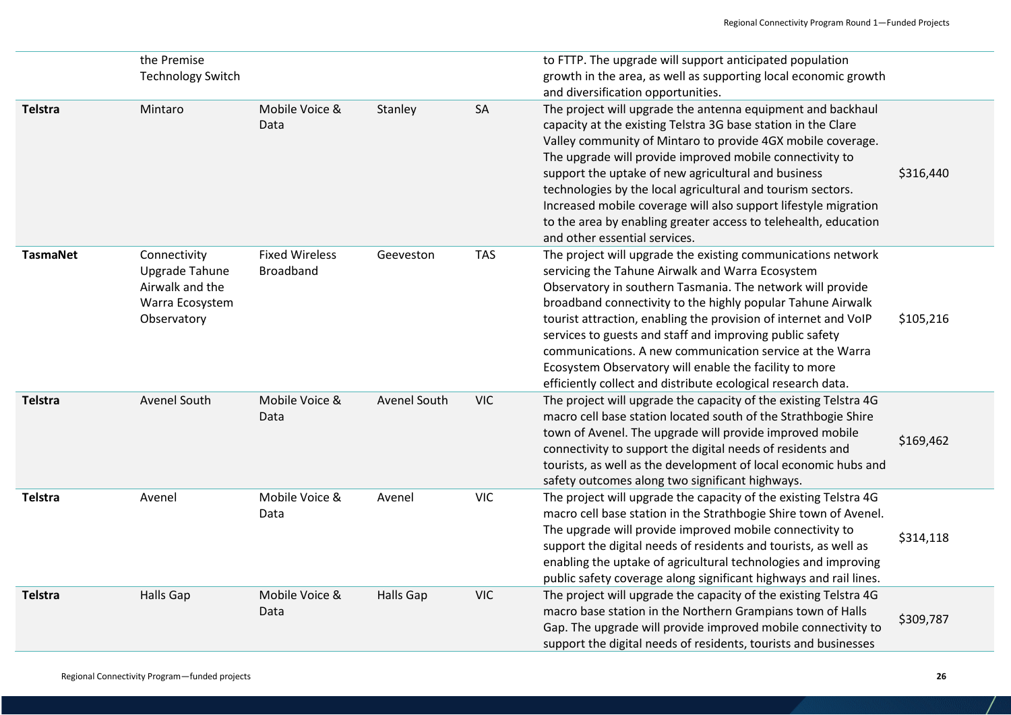|                 | the Premise<br><b>Technology Switch</b>                                             |                                           |                  |            | to FTTP. The upgrade will support anticipated population<br>growth in the area, as well as supporting local economic growth<br>and diversification opportunities.                                                                                                                                                                                                                                                                                                                                                                                                  |           |
|-----------------|-------------------------------------------------------------------------------------|-------------------------------------------|------------------|------------|--------------------------------------------------------------------------------------------------------------------------------------------------------------------------------------------------------------------------------------------------------------------------------------------------------------------------------------------------------------------------------------------------------------------------------------------------------------------------------------------------------------------------------------------------------------------|-----------|
| <b>Telstra</b>  | Mintaro                                                                             | Mobile Voice &<br>Data                    | Stanley          | SA         | The project will upgrade the antenna equipment and backhaul<br>capacity at the existing Telstra 3G base station in the Clare<br>Valley community of Mintaro to provide 4GX mobile coverage.<br>The upgrade will provide improved mobile connectivity to<br>support the uptake of new agricultural and business<br>technologies by the local agricultural and tourism sectors.<br>Increased mobile coverage will also support lifestyle migration<br>to the area by enabling greater access to telehealth, education<br>and other essential services.               | \$316,440 |
| <b>TasmaNet</b> | Connectivity<br>Upgrade Tahune<br>Airwalk and the<br>Warra Ecosystem<br>Observatory | <b>Fixed Wireless</b><br><b>Broadband</b> | Geeveston        | <b>TAS</b> | The project will upgrade the existing communications network<br>servicing the Tahune Airwalk and Warra Ecosystem<br>Observatory in southern Tasmania. The network will provide<br>broadband connectivity to the highly popular Tahune Airwalk<br>tourist attraction, enabling the provision of internet and VoIP<br>services to guests and staff and improving public safety<br>communications. A new communication service at the Warra<br>Ecosystem Observatory will enable the facility to more<br>efficiently collect and distribute ecological research data. | \$105,216 |
| <b>Telstra</b>  | Avenel South                                                                        | Mobile Voice &<br>Data                    | Avenel South     | <b>VIC</b> | The project will upgrade the capacity of the existing Telstra 4G<br>macro cell base station located south of the Strathbogie Shire<br>town of Avenel. The upgrade will provide improved mobile<br>connectivity to support the digital needs of residents and<br>tourists, as well as the development of local economic hubs and<br>safety outcomes along two significant highways.                                                                                                                                                                                 | \$169,462 |
| <b>Telstra</b>  | Avenel                                                                              | Mobile Voice &<br>Data                    | Avenel           | <b>VIC</b> | The project will upgrade the capacity of the existing Telstra 4G<br>macro cell base station in the Strathbogie Shire town of Avenel.<br>The upgrade will provide improved mobile connectivity to<br>support the digital needs of residents and tourists, as well as<br>enabling the uptake of agricultural technologies and improving<br>public safety coverage along significant highways and rail lines.                                                                                                                                                         | \$314,118 |
| <b>Telstra</b>  | <b>Halls Gap</b>                                                                    | Mobile Voice &<br>Data                    | <b>Halls Gap</b> | <b>VIC</b> | The project will upgrade the capacity of the existing Telstra 4G<br>macro base station in the Northern Grampians town of Halls<br>Gap. The upgrade will provide improved mobile connectivity to<br>support the digital needs of residents, tourists and businesses                                                                                                                                                                                                                                                                                                 | \$309,787 |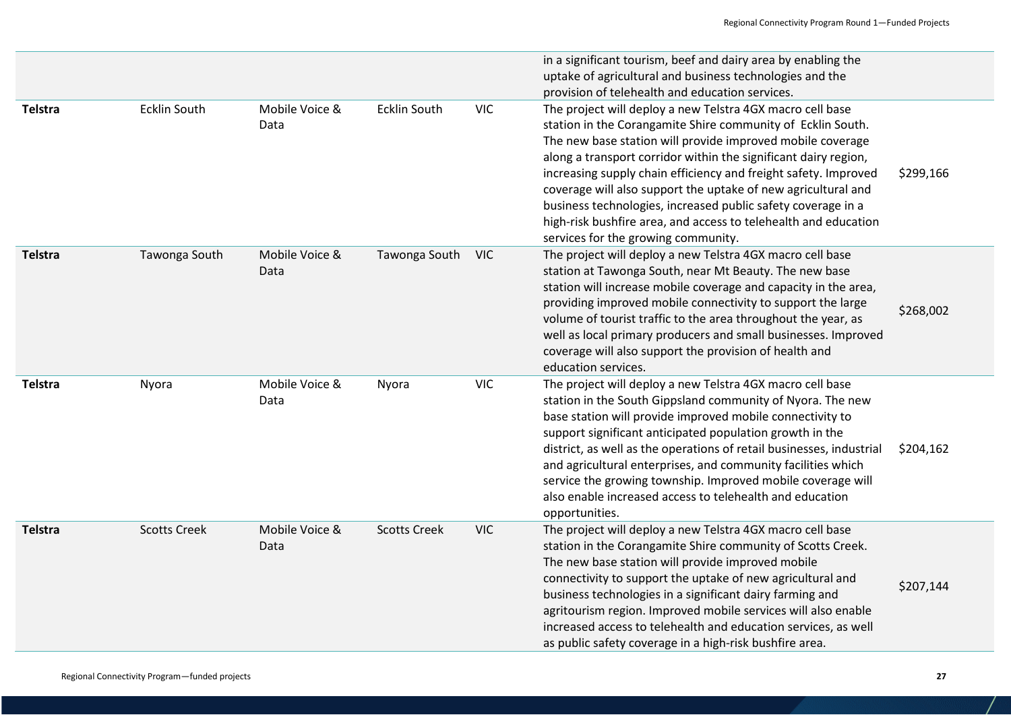|                |                     |                        |                     |            | in a significant tourism, beef and dairy area by enabling the<br>uptake of agricultural and business technologies and the<br>provision of telehealth and education services.                                                                                                                                                                                                                                                                                                                                                                                            |           |
|----------------|---------------------|------------------------|---------------------|------------|-------------------------------------------------------------------------------------------------------------------------------------------------------------------------------------------------------------------------------------------------------------------------------------------------------------------------------------------------------------------------------------------------------------------------------------------------------------------------------------------------------------------------------------------------------------------------|-----------|
| <b>Telstra</b> | <b>Ecklin South</b> | Mobile Voice &<br>Data | <b>Ecklin South</b> | <b>VIC</b> | The project will deploy a new Telstra 4GX macro cell base<br>station in the Corangamite Shire community of Ecklin South.<br>The new base station will provide improved mobile coverage<br>along a transport corridor within the significant dairy region,<br>increasing supply chain efficiency and freight safety. Improved<br>coverage will also support the uptake of new agricultural and<br>business technologies, increased public safety coverage in a<br>high-risk bushfire area, and access to telehealth and education<br>services for the growing community. | \$299,166 |
| <b>Telstra</b> | Tawonga South       | Mobile Voice &<br>Data | Tawonga South       | <b>VIC</b> | The project will deploy a new Telstra 4GX macro cell base<br>station at Tawonga South, near Mt Beauty. The new base<br>station will increase mobile coverage and capacity in the area,<br>providing improved mobile connectivity to support the large<br>volume of tourist traffic to the area throughout the year, as<br>well as local primary producers and small businesses. Improved<br>coverage will also support the provision of health and<br>education services.                                                                                               | \$268,002 |
| <b>Telstra</b> | Nyora               | Mobile Voice &<br>Data | Nyora               | <b>VIC</b> | The project will deploy a new Telstra 4GX macro cell base<br>station in the South Gippsland community of Nyora. The new<br>base station will provide improved mobile connectivity to<br>support significant anticipated population growth in the<br>district, as well as the operations of retail businesses, industrial<br>and agricultural enterprises, and community facilities which<br>service the growing township. Improved mobile coverage will<br>also enable increased access to telehealth and education<br>opportunities.                                   | \$204,162 |
| <b>Telstra</b> | <b>Scotts Creek</b> | Mobile Voice &<br>Data | <b>Scotts Creek</b> | <b>VIC</b> | The project will deploy a new Telstra 4GX macro cell base<br>station in the Corangamite Shire community of Scotts Creek.<br>The new base station will provide improved mobile<br>connectivity to support the uptake of new agricultural and<br>business technologies in a significant dairy farming and<br>agritourism region. Improved mobile services will also enable<br>increased access to telehealth and education services, as well<br>as public safety coverage in a high-risk bushfire area.                                                                   | \$207,144 |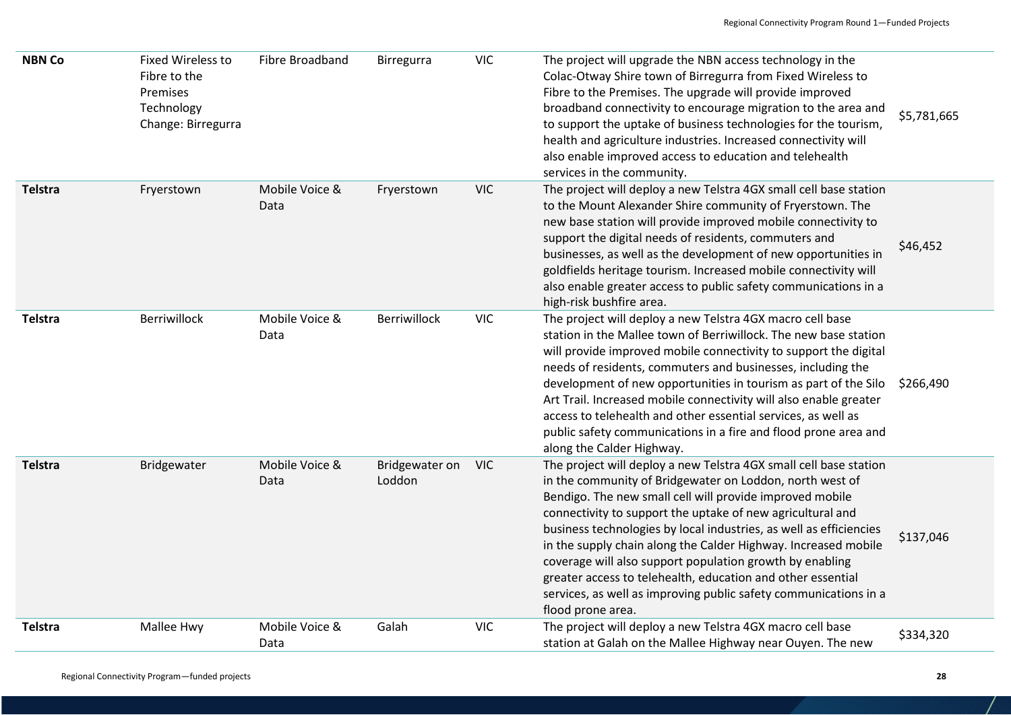| <b>NBN Co</b> | <b>Fixed Wireless to</b><br>Fibre to the<br>Premises<br>Technology<br>Change: Birregurra | Fibre Broadband        | Birregurra               | <b>VIC</b> | The project will upgrade the NBN access technology in the<br>Colac-Otway Shire town of Birregurra from Fixed Wireless to<br>Fibre to the Premises. The upgrade will provide improved<br>broadband connectivity to encourage migration to the area and<br>to support the uptake of business technologies for the tourism,<br>health and agriculture industries. Increased connectivity will<br>also enable improved access to education and telehealth<br>services in the community.                                                                                                                                 | \$5,781,665 |
|---------------|------------------------------------------------------------------------------------------|------------------------|--------------------------|------------|---------------------------------------------------------------------------------------------------------------------------------------------------------------------------------------------------------------------------------------------------------------------------------------------------------------------------------------------------------------------------------------------------------------------------------------------------------------------------------------------------------------------------------------------------------------------------------------------------------------------|-------------|
| Telstra       | Fryerstown                                                                               | Mobile Voice &<br>Data | Fryerstown               | <b>VIC</b> | The project will deploy a new Telstra 4GX small cell base station<br>to the Mount Alexander Shire community of Fryerstown. The<br>new base station will provide improved mobile connectivity to<br>support the digital needs of residents, commuters and<br>businesses, as well as the development of new opportunities in<br>goldfields heritage tourism. Increased mobile connectivity will<br>also enable greater access to public safety communications in a<br>high-risk bushfire area.                                                                                                                        | \$46,452    |
| Telstra       | Berriwillock                                                                             | Mobile Voice &<br>Data | Berriwillock             | <b>VIC</b> | The project will deploy a new Telstra 4GX macro cell base<br>station in the Mallee town of Berriwillock. The new base station<br>will provide improved mobile connectivity to support the digital<br>needs of residents, commuters and businesses, including the<br>development of new opportunities in tourism as part of the Silo<br>Art Trail. Increased mobile connectivity will also enable greater<br>access to telehealth and other essential services, as well as<br>public safety communications in a fire and flood prone area and<br>along the Calder Highway.                                           | \$266,490   |
| Telstra       | Bridgewater                                                                              | Mobile Voice &<br>Data | Bridgewater on<br>Loddon | <b>VIC</b> | The project will deploy a new Telstra 4GX small cell base station<br>in the community of Bridgewater on Loddon, north west of<br>Bendigo. The new small cell will provide improved mobile<br>connectivity to support the uptake of new agricultural and<br>business technologies by local industries, as well as efficiencies<br>in the supply chain along the Calder Highway. Increased mobile<br>coverage will also support population growth by enabling<br>greater access to telehealth, education and other essential<br>services, as well as improving public safety communications in a<br>flood prone area. | \$137,046   |
| Telstra       | Mallee Hwy                                                                               | Mobile Voice &<br>Data | Galah                    | <b>VIC</b> | The project will deploy a new Telstra 4GX macro cell base<br>station at Galah on the Mallee Highway near Ouyen. The new                                                                                                                                                                                                                                                                                                                                                                                                                                                                                             | \$334,320   |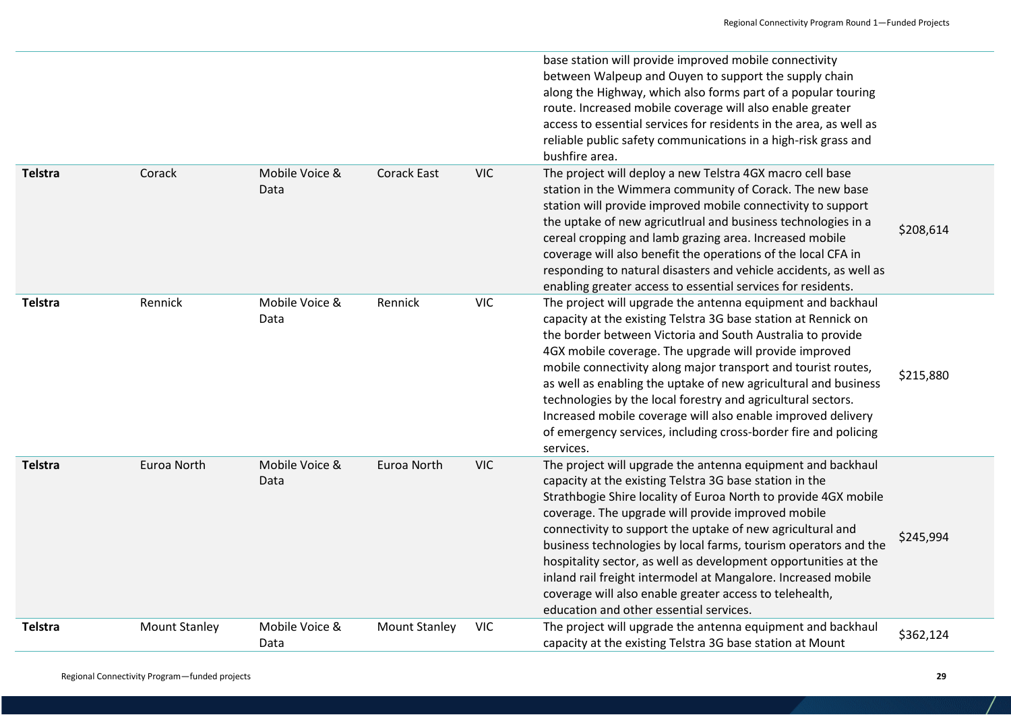|         |                      |                        |                      |            | base station will provide improved mobile connectivity<br>between Walpeup and Ouyen to support the supply chain<br>along the Highway, which also forms part of a popular touring<br>route. Increased mobile coverage will also enable greater<br>access to essential services for residents in the area, as well as<br>reliable public safety communications in a high-risk grass and<br>bushfire area.                                                                                                                                                                                                                    |           |
|---------|----------------------|------------------------|----------------------|------------|----------------------------------------------------------------------------------------------------------------------------------------------------------------------------------------------------------------------------------------------------------------------------------------------------------------------------------------------------------------------------------------------------------------------------------------------------------------------------------------------------------------------------------------------------------------------------------------------------------------------------|-----------|
| Telstra | Corack               | Mobile Voice &<br>Data | <b>Corack East</b>   | <b>VIC</b> | The project will deploy a new Telstra 4GX macro cell base<br>station in the Wimmera community of Corack. The new base<br>station will provide improved mobile connectivity to support<br>the uptake of new agricutlrual and business technologies in a<br>cereal cropping and lamb grazing area. Increased mobile<br>coverage will also benefit the operations of the local CFA in<br>responding to natural disasters and vehicle accidents, as well as<br>enabling greater access to essential services for residents.                                                                                                    | \$208,614 |
| Telstra | Rennick              | Mobile Voice &<br>Data | Rennick              | <b>VIC</b> | The project will upgrade the antenna equipment and backhaul<br>capacity at the existing Telstra 3G base station at Rennick on<br>the border between Victoria and South Australia to provide<br>4GX mobile coverage. The upgrade will provide improved<br>mobile connectivity along major transport and tourist routes,<br>as well as enabling the uptake of new agricultural and business<br>technologies by the local forestry and agricultural sectors.<br>Increased mobile coverage will also enable improved delivery<br>of emergency services, including cross-border fire and policing<br>services.                  | \$215,880 |
| Telstra | Euroa North          | Mobile Voice &<br>Data | Euroa North          | <b>VIC</b> | The project will upgrade the antenna equipment and backhaul<br>capacity at the existing Telstra 3G base station in the<br>Strathbogie Shire locality of Euroa North to provide 4GX mobile<br>coverage. The upgrade will provide improved mobile<br>connectivity to support the uptake of new agricultural and<br>business technologies by local farms, tourism operators and the<br>hospitality sector, as well as development opportunities at the<br>inland rail freight intermodel at Mangalore. Increased mobile<br>coverage will also enable greater access to telehealth,<br>education and other essential services. | \$245,994 |
| Telstra | <b>Mount Stanley</b> | Mobile Voice &<br>Data | <b>Mount Stanley</b> | <b>VIC</b> | The project will upgrade the antenna equipment and backhaul<br>capacity at the existing Telstra 3G base station at Mount                                                                                                                                                                                                                                                                                                                                                                                                                                                                                                   | \$362,124 |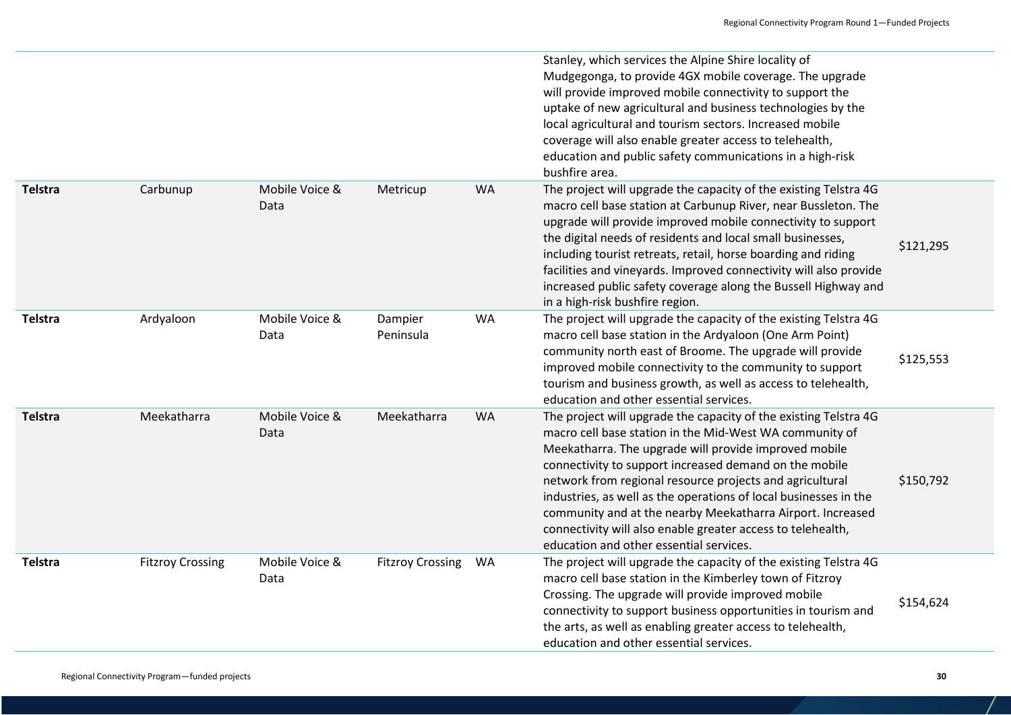|                |                         |                        |                         |    | Stanley, which services the Alpine Shire locality of<br>Mudgegonga, to provide 4GX mobile coverage. The upgrade<br>will provide improved mobile connectivity to support the<br>uptake of new agricultural and business technologies by the<br>local agricultural and tourism sectors. Increased mobile<br>coverage will also enable greater access to telehealth,<br>education and public safety communications in a high-risk<br>bushfire area.                                                                                                       |           |
|----------------|-------------------------|------------------------|-------------------------|----|--------------------------------------------------------------------------------------------------------------------------------------------------------------------------------------------------------------------------------------------------------------------------------------------------------------------------------------------------------------------------------------------------------------------------------------------------------------------------------------------------------------------------------------------------------|-----------|
| <b>Telstra</b> | Carbunup                | Mobile Voice &<br>Data | Metricup                | WA | The project will upgrade the capacity of the existing Telstra 4G<br>macro cell base station at Carbunup River, near Bussleton. The<br>upgrade will provide improved mobile connectivity to support<br>the digital needs of residents and local small businesses,<br>including tourist retreats, retail, horse boarding and riding<br>facilities and vineyards. Improved connectivity will also provide<br>increased public safety coverage along the Bussell Highway and<br>in a high-risk bushfire region.                                            | \$121,295 |
| <b>Telstra</b> | Ardyaloon               | Mobile Voice &<br>Data | Dampier<br>Peninsula    | WA | The project will upgrade the capacity of the existing Telstra 4G<br>macro cell base station in the Ardyaloon (One Arm Point)<br>community north east of Broome. The upgrade will provide<br>improved mobile connectivity to the community to support<br>tourism and business growth, as well as access to telehealth,<br>education and other essential services.                                                                                                                                                                                       | \$125,553 |
| <b>Telstra</b> | Meekatharra             | Mobile Voice &<br>Data | Meekatharra             | WA | The project will upgrade the capacity of the existing Telstra 4G<br>macro cell base station in the Mid-West WA community of<br>Meekatharra. The upgrade will provide improved mobile<br>connectivity to support increased demand on the mobile<br>network from regional resource projects and agricultural<br>industries, as well as the operations of local businesses in the<br>community and at the nearby Meekatharra Airport. Increased<br>connectivity will also enable greater access to telehealth,<br>education and other essential services. | \$150,792 |
| <b>Telstra</b> | <b>Fitzroy Crossing</b> | Mobile Voice &<br>Data | <b>Fitzroy Crossing</b> | WA | The project will upgrade the capacity of the existing Telstra 4G<br>macro cell base station in the Kimberley town of Fitzroy<br>Crossing. The upgrade will provide improved mobile<br>connectivity to support business opportunities in tourism and<br>the arts, as well as enabling greater access to telehealth,<br>education and other essential services.                                                                                                                                                                                          | \$154,624 |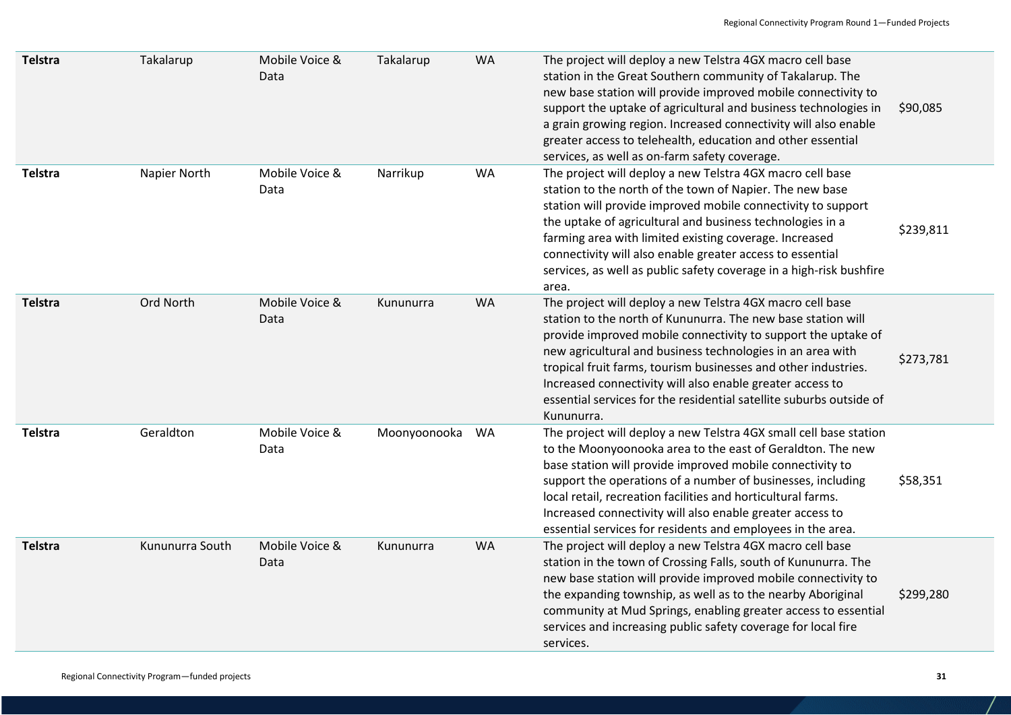| <b>Telstra</b> | Takalarup       | Mobile Voice &<br>Data | Takalarup    | <b>WA</b> | The project will deploy a new Telstra 4GX macro cell base<br>station in the Great Southern community of Takalarup. The<br>new base station will provide improved mobile connectivity to<br>support the uptake of agricultural and business technologies in<br>a grain growing region. Increased connectivity will also enable<br>greater access to telehealth, education and other essential<br>services, as well as on-farm safety coverage.                                | \$90,085  |
|----------------|-----------------|------------------------|--------------|-----------|------------------------------------------------------------------------------------------------------------------------------------------------------------------------------------------------------------------------------------------------------------------------------------------------------------------------------------------------------------------------------------------------------------------------------------------------------------------------------|-----------|
| Telstra        | Napier North    | Mobile Voice &<br>Data | Narrikup     | <b>WA</b> | The project will deploy a new Telstra 4GX macro cell base<br>station to the north of the town of Napier. The new base<br>station will provide improved mobile connectivity to support<br>the uptake of agricultural and business technologies in a<br>farming area with limited existing coverage. Increased<br>connectivity will also enable greater access to essential<br>services, as well as public safety coverage in a high-risk bushfire<br>area.                    | \$239,811 |
| Telstra        | Ord North       | Mobile Voice &<br>Data | Kununurra    | <b>WA</b> | The project will deploy a new Telstra 4GX macro cell base<br>station to the north of Kununurra. The new base station will<br>provide improved mobile connectivity to support the uptake of<br>new agricultural and business technologies in an area with<br>tropical fruit farms, tourism businesses and other industries.<br>Increased connectivity will also enable greater access to<br>essential services for the residential satellite suburbs outside of<br>Kununurra. | \$273,781 |
| Telstra        | Geraldton       | Mobile Voice &<br>Data | Moonyoonooka | WA        | The project will deploy a new Telstra 4GX small cell base station<br>to the Moonyoonooka area to the east of Geraldton. The new<br>base station will provide improved mobile connectivity to<br>support the operations of a number of businesses, including<br>local retail, recreation facilities and horticultural farms.<br>Increased connectivity will also enable greater access to<br>essential services for residents and employees in the area.                      | \$58,351  |
| Telstra        | Kununurra South | Mobile Voice &<br>Data | Kununurra    | <b>WA</b> | The project will deploy a new Telstra 4GX macro cell base<br>station in the town of Crossing Falls, south of Kununurra. The<br>new base station will provide improved mobile connectivity to<br>the expanding township, as well as to the nearby Aboriginal<br>community at Mud Springs, enabling greater access to essential<br>services and increasing public safety coverage for local fire<br>services.                                                                  | \$299,280 |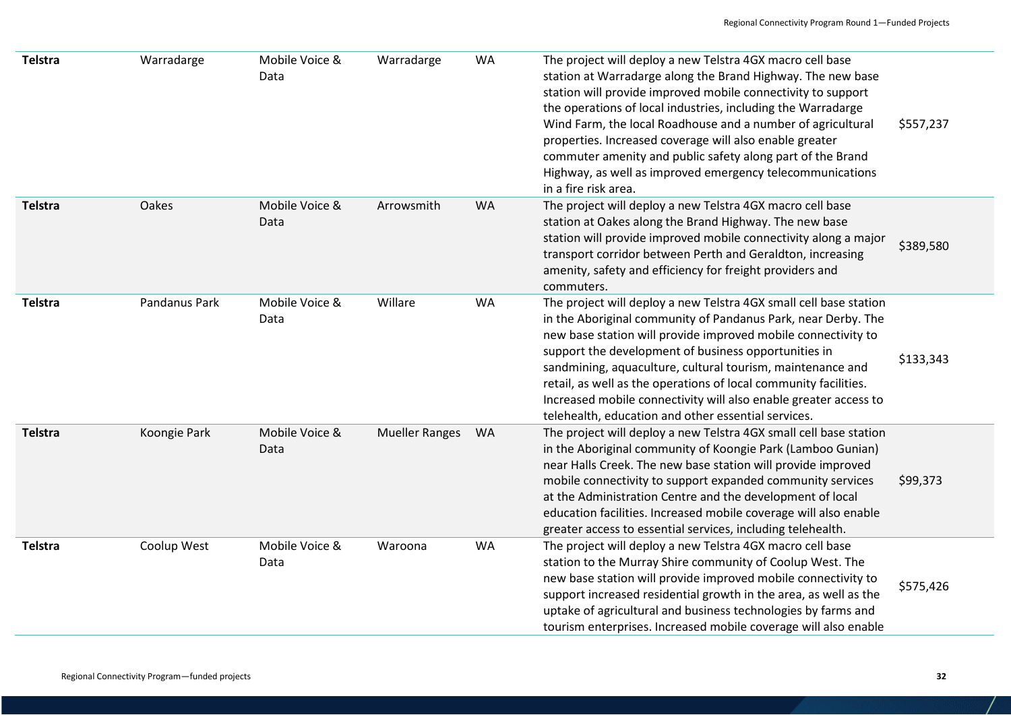| Telstra | Warradarge    | Mobile Voice &<br>Data | Warradarge            | WA        | The project will deploy a new Telstra 4GX macro cell base<br>station at Warradarge along the Brand Highway. The new base<br>station will provide improved mobile connectivity to support<br>the operations of local industries, including the Warradarge<br>Wind Farm, the local Roadhouse and a number of agricultural<br>properties. Increased coverage will also enable greater<br>commuter amenity and public safety along part of the Brand<br>Highway, as well as improved emergency telecommunications<br>in a fire risk area. | \$557,237 |
|---------|---------------|------------------------|-----------------------|-----------|---------------------------------------------------------------------------------------------------------------------------------------------------------------------------------------------------------------------------------------------------------------------------------------------------------------------------------------------------------------------------------------------------------------------------------------------------------------------------------------------------------------------------------------|-----------|
| Telstra | Oakes         | Mobile Voice &<br>Data | Arrowsmith            | <b>WA</b> | The project will deploy a new Telstra 4GX macro cell base<br>station at Oakes along the Brand Highway. The new base<br>station will provide improved mobile connectivity along a major<br>transport corridor between Perth and Geraldton, increasing<br>amenity, safety and efficiency for freight providers and<br>commuters.                                                                                                                                                                                                        | \$389,580 |
| Telstra | Pandanus Park | Mobile Voice &<br>Data | Willare               | <b>WA</b> | The project will deploy a new Telstra 4GX small cell base station<br>in the Aboriginal community of Pandanus Park, near Derby. The<br>new base station will provide improved mobile connectivity to<br>support the development of business opportunities in<br>sandmining, aquaculture, cultural tourism, maintenance and<br>retail, as well as the operations of local community facilities.<br>Increased mobile connectivity will also enable greater access to<br>telehealth, education and other essential services.              | \$133,343 |
| Telstra | Koongie Park  | Mobile Voice &<br>Data | <b>Mueller Ranges</b> | WA        | The project will deploy a new Telstra 4GX small cell base station<br>in the Aboriginal community of Koongie Park (Lamboo Gunian)<br>near Halls Creek. The new base station will provide improved<br>mobile connectivity to support expanded community services<br>at the Administration Centre and the development of local<br>education facilities. Increased mobile coverage will also enable<br>greater access to essential services, including telehealth.                                                                        | \$99,373  |
| Telstra | Coolup West   | Mobile Voice &<br>Data | Waroona               | <b>WA</b> | The project will deploy a new Telstra 4GX macro cell base<br>station to the Murray Shire community of Coolup West. The<br>new base station will provide improved mobile connectivity to<br>support increased residential growth in the area, as well as the<br>uptake of agricultural and business technologies by farms and<br>tourism enterprises. Increased mobile coverage will also enable                                                                                                                                       | \$575,426 |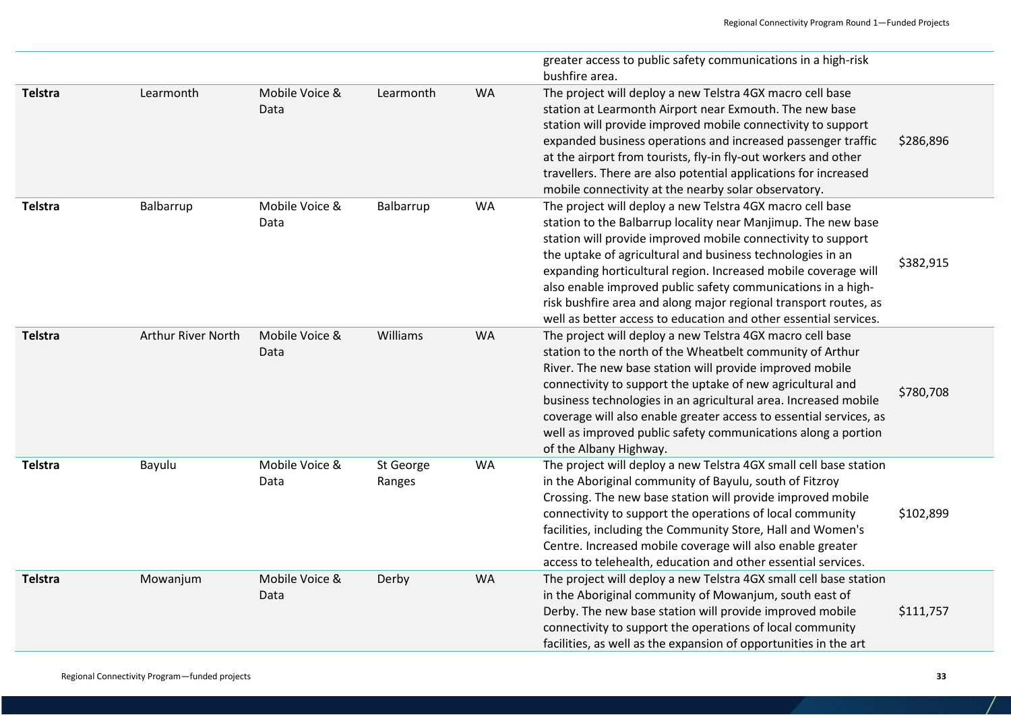|                |                    |                        |                     |           | greater access to public safety communications in a high-risk<br>bushfire area.                                                                                                                                                                                                                                                                                                                                                                                                                                                    |           |
|----------------|--------------------|------------------------|---------------------|-----------|------------------------------------------------------------------------------------------------------------------------------------------------------------------------------------------------------------------------------------------------------------------------------------------------------------------------------------------------------------------------------------------------------------------------------------------------------------------------------------------------------------------------------------|-----------|
| <b>Telstra</b> | Learmonth          | Mobile Voice &<br>Data | Learmonth           | WA        | The project will deploy a new Telstra 4GX macro cell base<br>station at Learmonth Airport near Exmouth. The new base<br>station will provide improved mobile connectivity to support<br>expanded business operations and increased passenger traffic<br>at the airport from tourists, fly-in fly-out workers and other<br>travellers. There are also potential applications for increased<br>mobile connectivity at the nearby solar observatory.                                                                                  | \$286,896 |
| <b>Telstra</b> | Balbarrup          | Mobile Voice &<br>Data | Balbarrup           | WA        | The project will deploy a new Telstra 4GX macro cell base<br>station to the Balbarrup locality near Manjimup. The new base<br>station will provide improved mobile connectivity to support<br>the uptake of agricultural and business technologies in an<br>expanding horticultural region. Increased mobile coverage will<br>also enable improved public safety communications in a high-<br>risk bushfire area and along major regional transport routes, as<br>well as better access to education and other essential services. | \$382,915 |
| <b>Telstra</b> | Arthur River North | Mobile Voice &<br>Data | Williams            | <b>WA</b> | The project will deploy a new Telstra 4GX macro cell base<br>station to the north of the Wheatbelt community of Arthur<br>River. The new base station will provide improved mobile<br>connectivity to support the uptake of new agricultural and<br>business technologies in an agricultural area. Increased mobile<br>coverage will also enable greater access to essential services, as<br>well as improved public safety communications along a portion<br>of the Albany Highway.                                               | \$780,708 |
| <b>Telstra</b> | Bayulu             | Mobile Voice &<br>Data | St George<br>Ranges | WA        | The project will deploy a new Telstra 4GX small cell base station<br>in the Aboriginal community of Bayulu, south of Fitzroy<br>Crossing. The new base station will provide improved mobile<br>connectivity to support the operations of local community<br>facilities, including the Community Store, Hall and Women's<br>Centre. Increased mobile coverage will also enable greater<br>access to telehealth, education and other essential services.                                                                             | \$102,899 |
| <b>Telstra</b> | Mowanjum           | Mobile Voice &<br>Data | Derby               | WA        | The project will deploy a new Telstra 4GX small cell base station<br>in the Aboriginal community of Mowanjum, south east of<br>Derby. The new base station will provide improved mobile<br>connectivity to support the operations of local community<br>facilities, as well as the expansion of opportunities in the art                                                                                                                                                                                                           | \$111,757 |